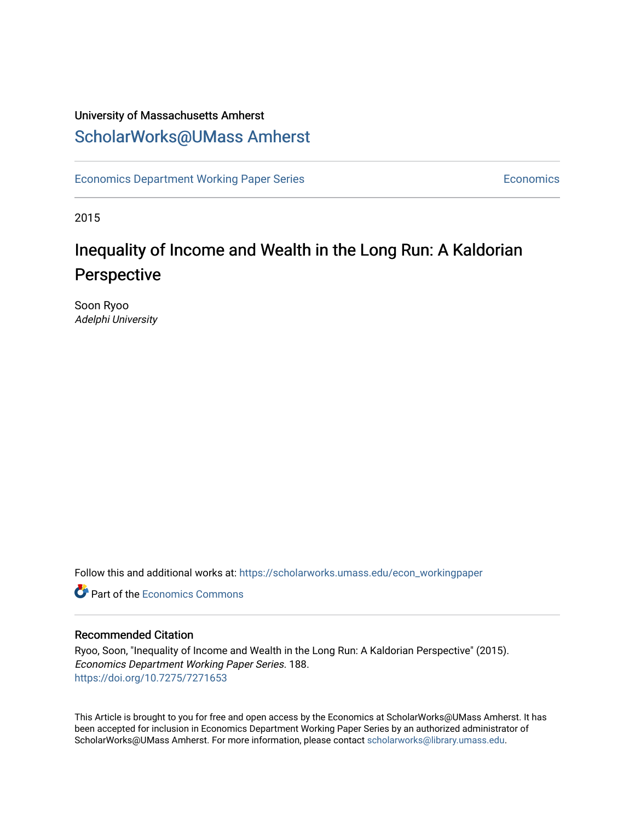# University of Massachusetts Amherst [ScholarWorks@UMass Amherst](https://scholarworks.umass.edu/)

[Economics Department Working Paper Series](https://scholarworks.umass.edu/econ_workingpaper) **Economics** Economics

2015

# Inequality of Income and Wealth in the Long Run: A Kaldorian Perspective

Soon Ryoo Adelphi University

Follow this and additional works at: [https://scholarworks.umass.edu/econ\\_workingpaper](https://scholarworks.umass.edu/econ_workingpaper?utm_source=scholarworks.umass.edu%2Fecon_workingpaper%2F188&utm_medium=PDF&utm_campaign=PDFCoverPages) 

**C** Part of the [Economics Commons](http://network.bepress.com/hgg/discipline/340?utm_source=scholarworks.umass.edu%2Fecon_workingpaper%2F188&utm_medium=PDF&utm_campaign=PDFCoverPages)

#### Recommended Citation

Ryoo, Soon, "Inequality of Income and Wealth in the Long Run: A Kaldorian Perspective" (2015). Economics Department Working Paper Series. 188. <https://doi.org/10.7275/7271653>

This Article is brought to you for free and open access by the Economics at ScholarWorks@UMass Amherst. It has been accepted for inclusion in Economics Department Working Paper Series by an authorized administrator of ScholarWorks@UMass Amherst. For more information, please contact [scholarworks@library.umass.edu.](mailto:scholarworks@library.umass.edu)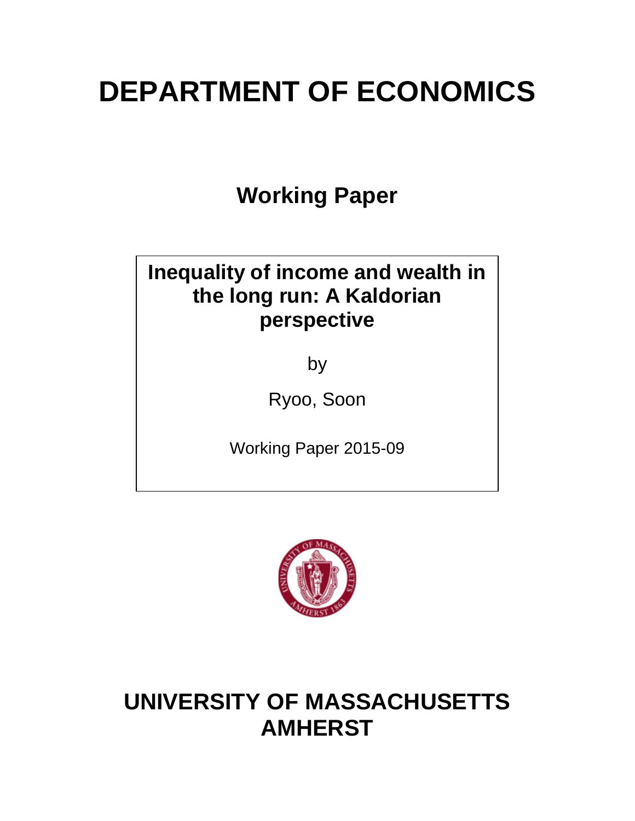# **DEPARTMENT OF ECONOMICS**

**Working Paper**

# **Inequality of income and wealth in the long run: A Kaldorian perspective**

by

Ryoo, Soon

Working Paper 2015-09



# **UNIVERSITY OF MASSACHUSETTS AMHERST**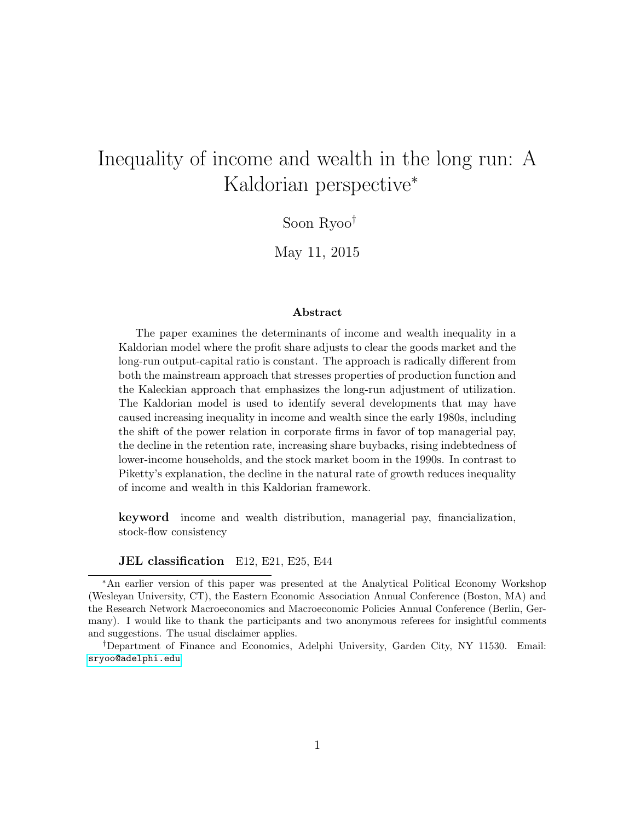# Inequality of income and wealth in the long run: A Kaldorian perspective<sup>∗</sup>

Soon Ryoo†

May 11, 2015

#### Abstract

The paper examines the determinants of income and wealth inequality in a Kaldorian model where the profit share adjusts to clear the goods market and the long-run output-capital ratio is constant. The approach is radically different from both the mainstream approach that stresses properties of production function and the Kaleckian approach that emphasizes the long-run adjustment of utilization. The Kaldorian model is used to identify several developments that may have caused increasing inequality in income and wealth since the early 1980s, including the shift of the power relation in corporate firms in favor of top managerial pay, the decline in the retention rate, increasing share buybacks, rising indebtedness of lower-income households, and the stock market boom in the 1990s. In contrast to Piketty's explanation, the decline in the natural rate of growth reduces inequality of income and wealth in this Kaldorian framework.

keyword income and wealth distribution, managerial pay, financialization, stock-flow consistency

JEL classification E12, E21, E25, E44

†Department of Finance and Economics, Adelphi University, Garden City, NY 11530. Email: <sryoo@adelphi.edu>

<sup>∗</sup>An earlier version of this paper was presented at the Analytical Political Economy Workshop (Wesleyan University, CT), the Eastern Economic Association Annual Conference (Boston, MA) and the Research Network Macroeconomics and Macroeconomic Policies Annual Conference (Berlin, Germany). I would like to thank the participants and two anonymous referees for insightful comments and suggestions. The usual disclaimer applies.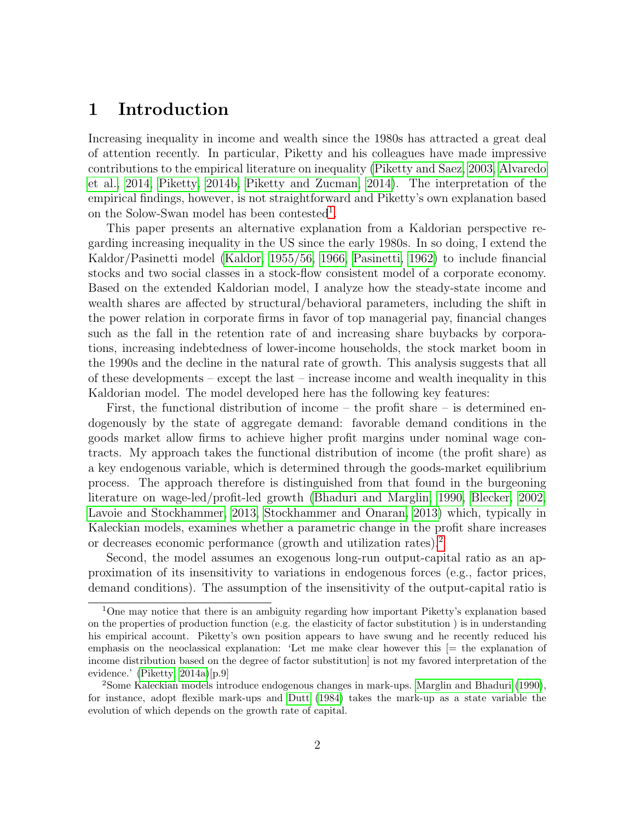### 1 Introduction

Increasing inequality in income and wealth since the 1980s has attracted a great deal of attention recently. In particular, Piketty and his colleagues have made impressive contributions to the empirical literature on inequality [\(Piketty and Saez, 2003,](#page-26-0) [Alvaredo](#page-23-0) [et al., 2014,](#page-23-0) [Piketty, 2014b,](#page-26-1) [Piketty and Zucman, 2014\)](#page-26-2). The interpretation of the empirical findings, however, is not straightforward and Piketty's own explanation based on the Solow-Swan model has been contested<sup>[1](#page-3-0)</sup>.

This paper presents an alternative explanation from a Kaldorian perspective regarding increasing inequality in the US since the early 1980s. In so doing, I extend the Kaldor/Pasinetti model [\(Kaldor, 1955/56,](#page-24-0) [1966,](#page-24-1) [Pasinetti, 1962\)](#page-26-3) to include financial stocks and two social classes in a stock-flow consistent model of a corporate economy. Based on the extended Kaldorian model, I analyze how the steady-state income and wealth shares are affected by structural/behavioral parameters, including the shift in the power relation in corporate firms in favor of top managerial pay, financial changes such as the fall in the retention rate of and increasing share buybacks by corporations, increasing indebtedness of lower-income households, the stock market boom in the 1990s and the decline in the natural rate of growth. This analysis suggests that all of these developments – except the last – increase income and wealth inequality in this Kaldorian model. The model developed here has the following key features:

First, the functional distribution of income  $-$  the profit share  $-$  is determined endogenously by the state of aggregate demand: favorable demand conditions in the goods market allow firms to achieve higher profit margins under nominal wage contracts. My approach takes the functional distribution of income (the profit share) as a key endogenous variable, which is determined through the goods-market equilibrium process. The approach therefore is distinguished from that found in the burgeoning literature on wage-led/profit-led growth [\(Bhaduri and Marglin, 1990,](#page-23-1) [Blecker, 2002,](#page-23-2) [Lavoie and Stockhammer, 2013,](#page-25-0) [Stockhammer and Onaran, 2013\)](#page-27-0) which, typically in Kaleckian models, examines whether a parametric change in the profit share increases or decreases economic performance (growth and utilization rates).[2](#page-3-1)

Second, the model assumes an exogenous long-run output-capital ratio as an approximation of its insensitivity to variations in endogenous forces (e.g., factor prices, demand conditions). The assumption of the insensitivity of the output-capital ratio is

<span id="page-3-0"></span><sup>1</sup>One may notice that there is an ambiguity regarding how important Piketty's explanation based on the properties of production function (e.g. the elasticity of factor substitution ) is in understanding his empirical account. Piketty's own position appears to have swung and he recently reduced his emphasis on the neoclassical explanation: 'Let me make clear however this [= the explanation of income distribution based on the degree of factor substitution] is not my favored interpretation of the evidence.' [\(Piketty, 2014a\)](#page-26-4)[p.9]

<span id="page-3-1"></span><sup>2</sup>Some Kaleckian models introduce endogenous changes in mark-ups. [Marglin and Bhaduri](#page-25-1) [\(1990\)](#page-25-1), for instance, adopt flexible mark-ups and [Dutt](#page-24-2) [\(1984\)](#page-24-2) takes the mark-up as a state variable the evolution of which depends on the growth rate of capital.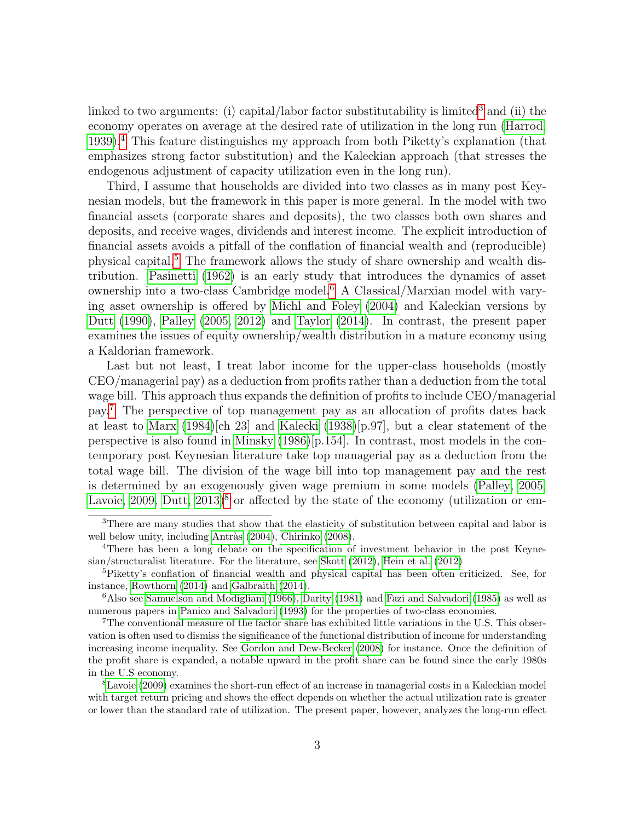linked to two arguments: (i) capital/labor factor substitutability is limited<sup>[3](#page-4-0)</sup> and (ii) the economy operates on average at the desired rate of utilization in the long run [\(Harrod,](#page-24-3) [1939\)](#page-24-3).[4](#page-4-1) This feature distinguishes my approach from both Piketty's explanation (that emphasizes strong factor substitution) and the Kaleckian approach (that stresses the endogenous adjustment of capacity utilization even in the long run).

Third, I assume that households are divided into two classes as in many post Keynesian models, but the framework in this paper is more general. In the model with two financial assets (corporate shares and deposits), the two classes both own shares and deposits, and receive wages, dividends and interest income. The explicit introduction of financial assets avoids a pitfall of the conflation of financial wealth and (reproducible) physical capital.[5](#page-4-2) The framework allows the study of share ownership and wealth distribution. [Pasinetti](#page-26-3) [\(1962\)](#page-26-3) is an early study that introduces the dynamics of asset ownership into a two-class Cambridge model.[6](#page-4-3) A Classical/Marxian model with varying asset ownership is offered by [Michl and Foley](#page-25-2) [\(2004\)](#page-25-2) and Kaleckian versions by [Dutt](#page-24-4) [\(1990\)](#page-24-4), [Palley](#page-25-3) [\(2005,](#page-25-3) [2012\)](#page-26-5) and [Taylor](#page-27-1) [\(2014\)](#page-27-1). In contrast, the present paper examines the issues of equity ownership/wealth distribution in a mature economy using a Kaldorian framework.

Last but not least, I treat labor income for the upper-class households (mostly CEO/managerial pay) as a deduction from profits rather than a deduction from the total wage bill. This approach thus expands the definition of profits to include CEO/managerial pay.[7](#page-4-4) The perspective of top management pay as an allocation of profits dates back at least to [Marx](#page-25-4) [\(1984\)](#page-25-4)[ch 23] and [Kalecki](#page-25-5) [\(1938\)](#page-25-5)[p.97], but a clear statement of the perspective is also found in [Minsky](#page-25-6)  $(1986)[p.154]$  $(1986)[p.154]$ . In contrast, most models in the contemporary post Keynesian literature take top managerial pay as a deduction from the total wage bill. The division of the wage bill into top management pay and the rest is determined by an exogenously given wage premium in some models [\(Palley, 2005,](#page-25-3) [Lavoie, 2009,](#page-25-7) Dutt,  $2013$ <sup>[8](#page-4-5)</sup> or affected by the state of the economy (utilization or em-

<span id="page-4-0"></span><sup>&</sup>lt;sup>3</sup>There are many studies that show that the elasticity of substitution between capital and labor is well below unity, including Antràs [\(2004\)](#page-23-3), [Chirinko](#page-23-4) [\(2008\)](#page-23-4).

<span id="page-4-1"></span><sup>&</sup>lt;sup>4</sup>There has been a long debate on the specification of investment behavior in the post Keynesian/structuralist literature. For the literature, see [Skott](#page-27-2) [\(2012\)](#page-27-2), [Hein et al.](#page-24-6) [\(2012\)](#page-24-6)

<span id="page-4-2"></span><sup>5</sup>Piketty's conflation of financial wealth and physical capital has been often criticized. See, for instance, [Rowthorn](#page-26-6) [\(2014\)](#page-26-6) and [Galbraith](#page-24-7) [\(2014\)](#page-24-7).

<span id="page-4-3"></span><sup>6</sup>Also see [Samuelson and Modigliani](#page-27-3) [\(1966\)](#page-27-3), [Darity](#page-23-5) [\(1981\)](#page-23-5) and [Fazi and Salvadori](#page-24-8) [\(1985\)](#page-24-8) as well as numerous papers in [Panico and Salvadori](#page-26-7) [\(1993\)](#page-26-7) for the properties of two-class economies.

<span id="page-4-4"></span><sup>7</sup>The conventional measure of the factor share has exhibited little variations in the U.S. This observation is often used to dismiss the significance of the functional distribution of income for understanding increasing income inequality. See [Gordon and Dew-Becker](#page-24-9) [\(2008\)](#page-24-9) for instance. Once the definition of the profit share is expanded, a notable upward in the profit share can be found since the early 1980s in the U.S economy.

<span id="page-4-5"></span><sup>8</sup>[Lavoie](#page-25-7) [\(2009\)](#page-25-7) examines the short-run effect of an increase in managerial costs in a Kaleckian model with target return pricing and shows the effect depends on whether the actual utilization rate is greater or lower than the standard rate of utilization. The present paper, however, analyzes the long-run effect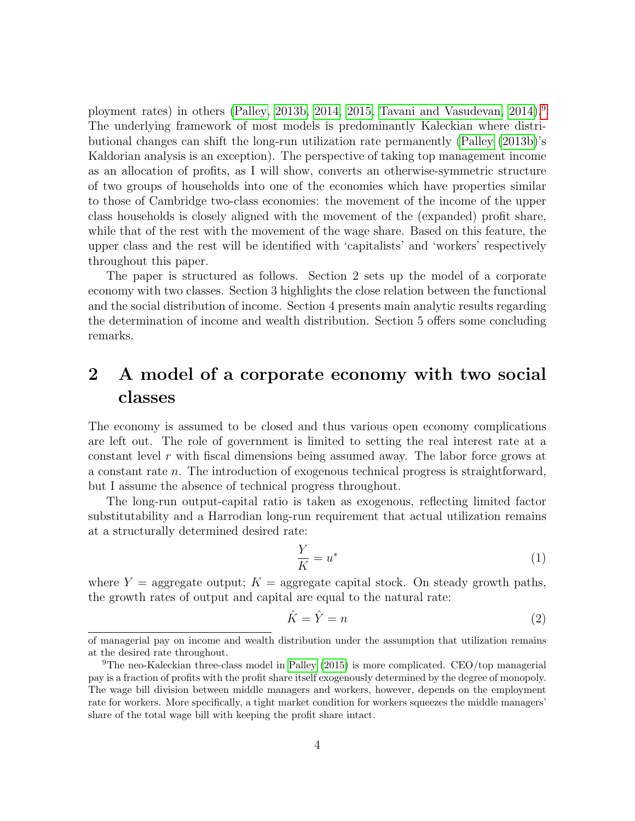ployment rates) in others [\(Palley, 2013b,](#page-26-8) [2014,](#page-26-9) [2015,](#page-26-10) [Tavani and Vasudevan, 2014\)](#page-27-4).[9](#page-5-0) The underlying framework of most models is predominantly Kaleckian where distributional changes can shift the long-run utilization rate permanently [\(Palley](#page-26-8) [\(2013b\)](#page-26-8)'s Kaldorian analysis is an exception). The perspective of taking top management income as an allocation of profits, as I will show, converts an otherwise-symmetric structure of two groups of households into one of the economies which have properties similar to those of Cambridge two-class economies: the movement of the income of the upper class households is closely aligned with the movement of the (expanded) profit share, while that of the rest with the movement of the wage share. Based on this feature, the upper class and the rest will be identified with 'capitalists' and 'workers' respectively throughout this paper.

The paper is structured as follows. Section 2 sets up the model of a corporate economy with two classes. Section 3 highlights the close relation between the functional and the social distribution of income. Section 4 presents main analytic results regarding the determination of income and wealth distribution. Section 5 offers some concluding remarks.

# 2 A model of a corporate economy with two social classes

The economy is assumed to be closed and thus various open economy complications are left out. The role of government is limited to setting the real interest rate at a constant level r with fiscal dimensions being assumed away. The labor force grows at a constant rate n. The introduction of exogenous technical progress is straightforward, but I assume the absence of technical progress throughout.

The long-run output-capital ratio is taken as exogenous, reflecting limited factor substitutability and a Harrodian long-run requirement that actual utilization remains at a structurally determined desired rate:

<span id="page-5-2"></span>
$$
\frac{Y}{K} = u^* \tag{1}
$$

where  $Y =$  aggregate output;  $K =$  aggregate capital stock. On steady growth paths, the growth rates of output and capital are equal to the natural rate:

<span id="page-5-1"></span>
$$
\hat{K} = \hat{Y} = n \tag{2}
$$

of managerial pay on income and wealth distribution under the assumption that utilization remains at the desired rate throughout.

<span id="page-5-0"></span><sup>9</sup>The neo-Kaleckian three-class model in [Palley](#page-26-10) [\(2015\)](#page-26-10) is more complicated. CEO/top managerial pay is a fraction of profits with the profit share itself exogenously determined by the degree of monopoly. The wage bill division between middle managers and workers, however, depends on the employment rate for workers. More specifically, a tight market condition for workers squeezes the middle managers' share of the total wage bill with keeping the profit share intact.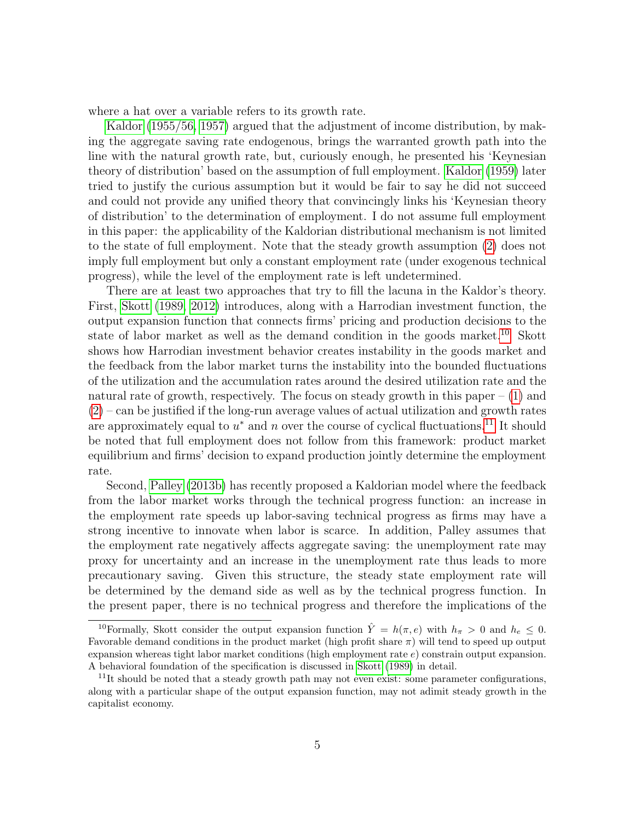where a hat over a variable refers to its growth rate.

[Kaldor](#page-24-0) [\(1955/56,](#page-24-0) [1957\)](#page-24-10) argued that the adjustment of income distribution, by making the aggregate saving rate endogenous, brings the warranted growth path into the line with the natural growth rate, but, curiously enough, he presented his 'Keynesian theory of distribution' based on the assumption of full employment. [Kaldor](#page-24-11) [\(1959\)](#page-24-11) later tried to justify the curious assumption but it would be fair to say he did not succeed and could not provide any unified theory that convincingly links his 'Keynesian theory of distribution' to the determination of employment. I do not assume full employment in this paper: the applicability of the Kaldorian distributional mechanism is not limited to the state of full employment. Note that the steady growth assumption [\(2\)](#page-5-1) does not imply full employment but only a constant employment rate (under exogenous technical progress), while the level of the employment rate is left undetermined.

There are at least two approaches that try to fill the lacuna in the Kaldor's theory. First, [Skott](#page-27-5) [\(1989,](#page-27-5) [2012\)](#page-27-2) introduces, along with a Harrodian investment function, the output expansion function that connects firms' pricing and production decisions to the state of labor market as well as the demand condition in the goods market.<sup>[10](#page-6-0)</sup> Skott shows how Harrodian investment behavior creates instability in the goods market and the feedback from the labor market turns the instability into the bounded fluctuations of the utilization and the accumulation rates around the desired utilization rate and the natural rate of growth, respectively. The focus on steady growth in this paper  $- (1)$  $- (1)$  and  $(2)$  – can be justified if the long-run average values of actual utilization and growth rates are approximately equal to  $u^*$  and n over the course of cyclical fluctuations.<sup>[11](#page-6-1)</sup> It should be noted that full employment does not follow from this framework: product market equilibrium and firms' decision to expand production jointly determine the employment rate.

Second, [Palley](#page-26-8) [\(2013b\)](#page-26-8) has recently proposed a Kaldorian model where the feedback from the labor market works through the technical progress function: an increase in the employment rate speeds up labor-saving technical progress as firms may have a strong incentive to innovate when labor is scarce. In addition, Palley assumes that the employment rate negatively affects aggregate saving: the unemployment rate may proxy for uncertainty and an increase in the unemployment rate thus leads to more precautionary saving. Given this structure, the steady state employment rate will be determined by the demand side as well as by the technical progress function. In the present paper, there is no technical progress and therefore the implications of the

<span id="page-6-0"></span><sup>&</sup>lt;sup>10</sup>Formally, Skott consider the output expansion function  $\hat{Y} = h(\pi, e)$  with  $h_{\pi} > 0$  and  $h_e \leq 0$ . Favorable demand conditions in the product market (high profit share  $\pi$ ) will tend to speed up output expansion whereas tight labor market conditions (high employment rate  $e$ ) constrain output expansion. A behavioral foundation of the specification is discussed in [Skott](#page-27-5) [\(1989\)](#page-27-5) in detail.

<span id="page-6-1"></span> $11$ It should be noted that a steady growth path may not even exist: some parameter configurations, along with a particular shape of the output expansion function, may not adimit steady growth in the capitalist economy.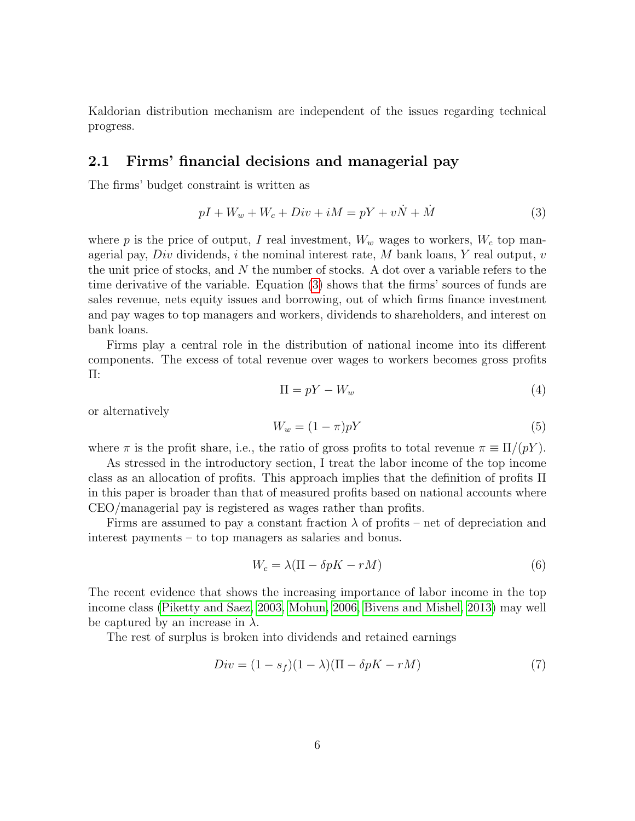Kaldorian distribution mechanism are independent of the issues regarding technical progress.

#### 2.1 Firms' financial decisions and managerial pay

The firms' budget constraint is written as

<span id="page-7-0"></span>
$$
pI + W_w + W_c + Div + iM = pY + v\dot{N} + \dot{M}
$$
\n<sup>(3)</sup>

where p is the price of output, I real investment,  $W_w$  wages to workers,  $W_c$  top managerial pay, Div dividends, i the nominal interest rate, M bank loans, Y real output,  $v$ the unit price of stocks, and  $N$  the number of stocks. A dot over a variable refers to the time derivative of the variable. Equation [\(3\)](#page-7-0) shows that the firms' sources of funds are sales revenue, nets equity issues and borrowing, out of which firms finance investment and pay wages to top managers and workers, dividends to shareholders, and interest on bank loans.

Firms play a central role in the distribution of national income into its different components. The excess of total revenue over wages to workers becomes gross profits Π:

$$
\Pi = pY - W_w \tag{4}
$$

or alternatively

<span id="page-7-3"></span>
$$
W_w = (1 - \pi)pY
$$
\n<sup>(5)</sup>

where  $\pi$  is the profit share, i.e., the ratio of gross profits to total revenue  $\pi \equiv \Pi/(pY)$ .

As stressed in the introductory section, I treat the labor income of the top income class as an allocation of profits. This approach implies that the definition of profits Π in this paper is broader than that of measured profits based on national accounts where CEO/managerial pay is registered as wages rather than profits.

Firms are assumed to pay a constant fraction  $\lambda$  of profits – net of depreciation and interest payments – to top managers as salaries and bonus.

<span id="page-7-2"></span><span id="page-7-1"></span>
$$
W_c = \lambda (\Pi - \delta pK - rM) \tag{6}
$$

The recent evidence that shows the increasing importance of labor income in the top income class [\(Piketty and Saez, 2003,](#page-26-0) [Mohun, 2006,](#page-25-8) [Bivens and Mishel, 2013\)](#page-23-6) may well be captured by an increase in  $\lambda$ .

The rest of surplus is broken into dividends and retained earnings

$$
Div = (1 - s_f)(1 - \lambda)(\Pi - \delta pK - rM)
$$
\n(7)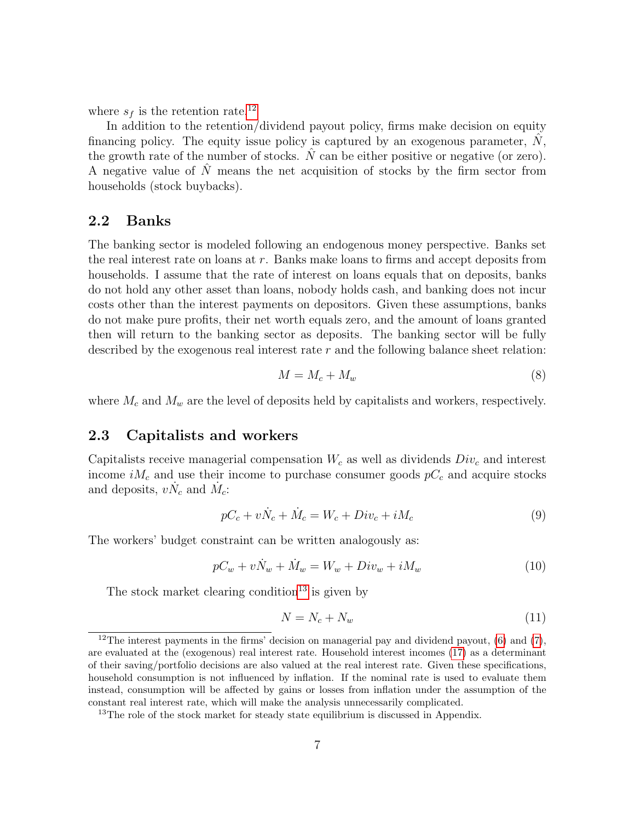where  $s_f$  is the retention rate.<sup>[12](#page-8-0)</sup>

In addition to the retention/dividend payout policy, firms make decision on equity financing policy. The equity issue policy is captured by an exogenous parameter,  $\hat{N}$ , the growth rate of the number of stocks.  $\hat{N}$  can be either positive or negative (or zero). A negative value of  $\hat{N}$  means the net acquisition of stocks by the firm sector from households (stock buybacks).

#### 2.2 Banks

The banking sector is modeled following an endogenous money perspective. Banks set the real interest rate on loans at  $r$ . Banks make loans to firms and accept deposits from households. I assume that the rate of interest on loans equals that on deposits, banks do not hold any other asset than loans, nobody holds cash, and banking does not incur costs other than the interest payments on depositors. Given these assumptions, banks do not make pure profits, their net worth equals zero, and the amount of loans granted then will return to the banking sector as deposits. The banking sector will be fully described by the exogenous real interest rate  $r$  and the following balance sheet relation:

<span id="page-8-4"></span>
$$
M = M_c + M_w \tag{8}
$$

where  $M_c$  and  $M_w$  are the level of deposits held by capitalists and workers, respectively.

#### 2.3 Capitalists and workers

Capitalists receive managerial compensation  $W_c$  as well as dividends  $Div_c$  and interest income  $iM_c$  and use their income to purchase consumer goods  $pC_c$  and acquire stocks and deposits,  $v \dot{N}_c$  and  $\dot{M}_c$ :

<span id="page-8-2"></span>
$$
pC_c + v\dot{N}_c + \dot{M}_c = W_c + Div_c + iM_c \tag{9}
$$

The workers' budget constraint can be written analogously as:

<span id="page-8-3"></span>
$$
pC_w + v\dot{N}_w + \dot{M}_w = W_w + Div_w + iM_w \tag{10}
$$

The stock market clearing condition<sup>[13](#page-8-1)</sup> is given by

<span id="page-8-5"></span>
$$
N = N_c + N_w \tag{11}
$$

<span id="page-8-0"></span><sup>&</sup>lt;sup>12</sup>The interest payments in the firms' decision on managerial pay and dividend payout,  $(6)$  and  $(7)$ , are evaluated at the (exogenous) real interest rate. Household interest incomes [\(17\)](#page-9-0) as a determinant of their saving/portfolio decisions are also valued at the real interest rate. Given these specifications, household consumption is not influenced by inflation. If the nominal rate is used to evaluate them instead, consumption will be affected by gains or losses from inflation under the assumption of the constant real interest rate, which will make the analysis unnecessarily complicated.

<span id="page-8-1"></span><sup>&</sup>lt;sup>13</sup>The role of the stock market for steady state equilibrium is discussed in Appendix.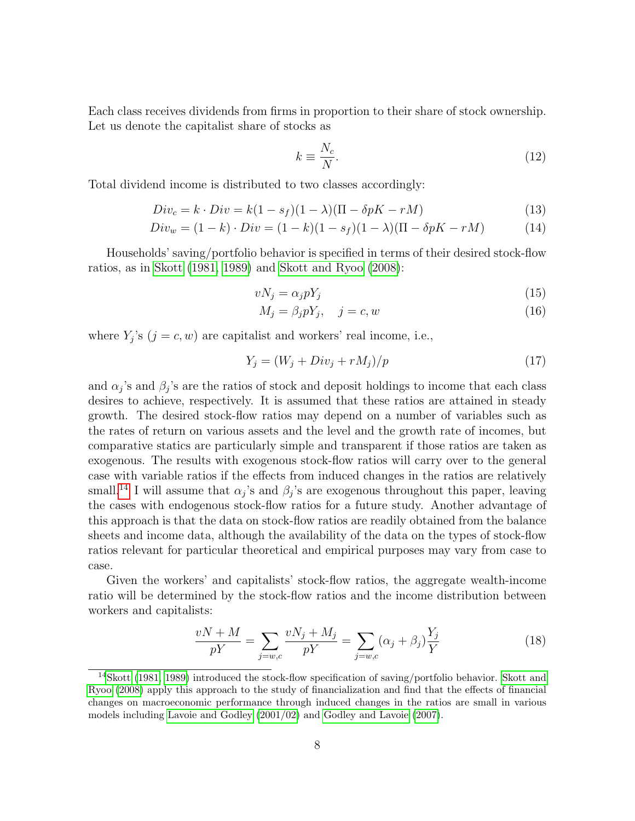Each class receives dividends from firms in proportion to their share of stock ownership. Let us denote the capitalist share of stocks as

<span id="page-9-5"></span><span id="page-9-4"></span><span id="page-9-2"></span>
$$
k \equiv \frac{N_c}{N}.\tag{12}
$$

Total dividend income is distributed to two classes accordingly:

$$
Div_c = k \cdot Div = k(1 - s_f)(1 - \lambda)(\Pi - \delta pK - rM)
$$
\n(13)

$$
Div_w = (1 - k) \cdot Div = (1 - k)(1 - s_f)(1 - \lambda)(\Pi - \delta pK - rM) \tag{14}
$$

Households' saving/portfolio behavior is specified in terms of their desired stock-flow ratios, as in [Skott](#page-27-6) [\(1981,](#page-27-6) [1989\)](#page-27-5) and [Skott and Ryoo](#page-27-7) [\(2008\)](#page-27-7):

$$
vN_j = \alpha_j pY_j \tag{15}
$$

<span id="page-9-3"></span>
$$
M_j = \beta_j p Y_j, \quad j = c, w \tag{16}
$$

where  $Y_j$ 's  $(j = c, w)$  are capitalist and workers' real income, i.e.,

<span id="page-9-0"></span>
$$
Y_j = (W_j + Div_j + rM_j)/p \tag{17}
$$

and  $\alpha_j$ 's and  $\beta_j$ 's are the ratios of stock and deposit holdings to income that each class desires to achieve, respectively. It is assumed that these ratios are attained in steady growth. The desired stock-flow ratios may depend on a number of variables such as the rates of return on various assets and the level and the growth rate of incomes, but comparative statics are particularly simple and transparent if those ratios are taken as exogenous. The results with exogenous stock-flow ratios will carry over to the general case with variable ratios if the effects from induced changes in the ratios are relatively small.<sup>[14](#page-9-1)</sup> I will assume that  $\alpha_j$ 's and  $\beta_j$ 's are exogenous throughout this paper, leaving the cases with endogenous stock-flow ratios for a future study. Another advantage of this approach is that the data on stock-flow ratios are readily obtained from the balance sheets and income data, although the availability of the data on the types of stock-flow ratios relevant for particular theoretical and empirical purposes may vary from case to case.

Given the workers' and capitalists' stock-flow ratios, the aggregate wealth-income ratio will be determined by the stock-flow ratios and the income distribution between workers and capitalists:

$$
\frac{vN + M}{pY} = \sum_{j=w,c} \frac{vN_j + M_j}{pY} = \sum_{j=w,c} (\alpha_j + \beta_j) \frac{Y_j}{Y}
$$
(18)

<span id="page-9-1"></span><sup>&</sup>lt;sup>14</sup>[Skott](#page-27-6) [\(1981,](#page-27-6) [1989\)](#page-27-5) introduced the stock-flow specification of saving/portfolio behavior. [Skott and](#page-27-7) [Ryoo](#page-27-7) [\(2008\)](#page-27-7) apply this approach to the study of financialization and find that the effects of financial changes on macroeconomic performance through induced changes in the ratios are small in various models including [Lavoie and Godley](#page-25-9) [\(2001/02\)](#page-25-9) and [Godley and Lavoie](#page-24-12) [\(2007\)](#page-24-12).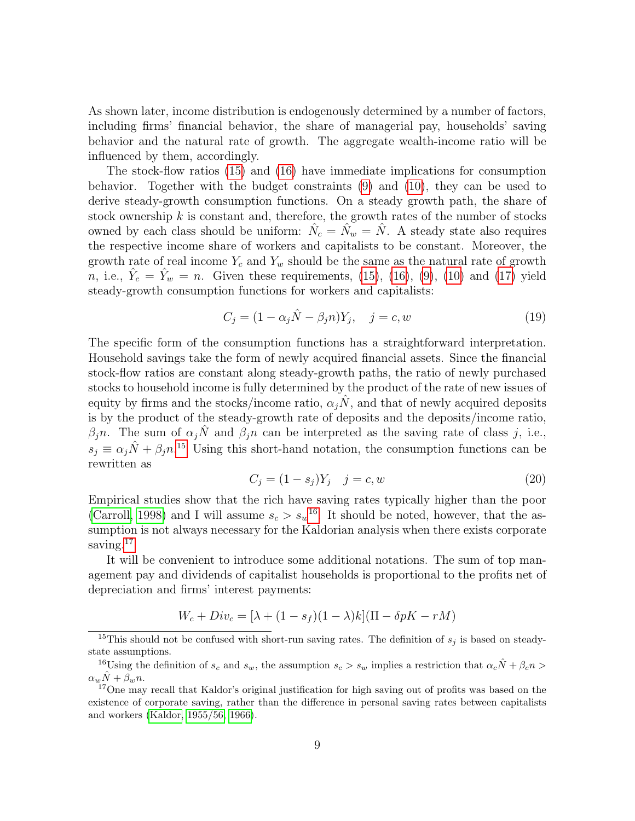As shown later, income distribution is endogenously determined by a number of factors, including firms' financial behavior, the share of managerial pay, households' saving behavior and the natural rate of growth. The aggregate wealth-income ratio will be influenced by them, accordingly.

The stock-flow ratios [\(15\)](#page-9-2) and [\(16\)](#page-9-3) have immediate implications for consumption behavior. Together with the budget constraints [\(9\)](#page-8-2) and [\(10\)](#page-8-3), they can be used to derive steady-growth consumption functions. On a steady growth path, the share of stock ownership  $k$  is constant and, therefore, the growth rates of the number of stocks owned by each class should be uniform:  $\hat{N}_c = \hat{N}_w = \hat{N}$ . A steady state also requires the respective income share of workers and capitalists to be constant. Moreover, the growth rate of real income  $Y_c$  and  $Y_w$  should be the same as the natural rate of growth n, i.e.,  $\hat{Y}_c = \hat{Y}_w = n$ . Given these requirements, [\(15\)](#page-9-2), [\(16\)](#page-9-3), [\(9\)](#page-8-2), [\(10\)](#page-8-3) and [\(17\)](#page-9-0) yield steady-growth consumption functions for workers and capitalists:

$$
C_j = (1 - \alpha_j \hat{N} - \beta_j n) Y_j, \quad j = c, w \tag{19}
$$

The specific form of the consumption functions has a straightforward interpretation. Household savings take the form of newly acquired financial assets. Since the financial stock-flow ratios are constant along steady-growth paths, the ratio of newly purchased stocks to household income is fully determined by the product of the rate of new issues of equity by firms and the stocks/income ratio,  $\alpha_j \tilde{N}$ , and that of newly acquired deposits is by the product of the steady-growth rate of deposits and the deposits/income ratio,  $\beta_j$ n. The sum of  $\alpha_j N$  and  $\beta_j n$  can be interpreted as the saving rate of class j, i.e.,  $s_j \equiv \alpha_j \hat{N} + \beta_j n^{15}$  $s_j \equiv \alpha_j \hat{N} + \beta_j n^{15}$  $s_j \equiv \alpha_j \hat{N} + \beta_j n^{15}$  Using this short-hand notation, the consumption functions can be rewritten as

$$
C_j = (1 - s_j)Y_j \quad j = c, w \tag{20}
$$

Empirical studies show that the rich have saving rates typically higher than the poor [\(Carroll, 1998\)](#page-23-7) and I will assume  $s_c > s_w^{16}$  $s_c > s_w^{16}$  $s_c > s_w^{16}$ . It should be noted, however, that the assumption is not always necessary for the Kaldorian analysis when there exists corporate saving. $17$ 

It will be convenient to introduce some additional notations. The sum of top management pay and dividends of capitalist households is proportional to the profits net of depreciation and firms' interest payments:

$$
W_c + Div_c = [\lambda + (1 - s_f)(1 - \lambda)k](\Pi - \delta pK - rM)
$$

<span id="page-10-0"></span><sup>&</sup>lt;sup>15</sup>This should not be confused with short-run saving rates. The definition of  $s_j$  is based on steadystate assumptions.

<span id="page-10-1"></span><sup>&</sup>lt;sup>16</sup>Using the definition of s<sub>c</sub> and s<sub>w</sub>, the assumption s<sub>c</sub> > s<sub>w</sub> implies a restriction that  $\alpha_c \hat{N} + \beta_c n$  >  $\alpha_w N + \beta_w n$ .

<span id="page-10-2"></span><sup>&</sup>lt;sup>17</sup>One may recall that Kaldor's original justification for high saving out of profits was based on the existence of corporate saving, rather than the difference in personal saving rates between capitalists and workers [\(Kaldor, 1955/56,](#page-24-0) [1966\)](#page-24-1).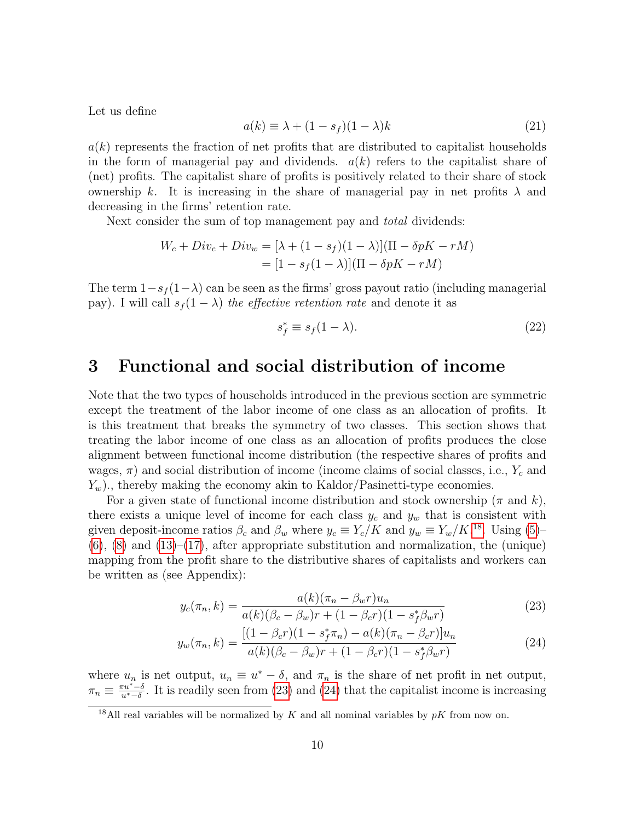Let us define

$$
a(k) \equiv \lambda + (1 - s_f)(1 - \lambda)k \tag{21}
$$

 $a(k)$  represents the fraction of net profits that are distributed to capitalist households in the form of managerial pay and dividends.  $a(k)$  refers to the capitalist share of (net) profits. The capitalist share of profits is positively related to their share of stock ownership k. It is increasing in the share of managerial pay in net profits  $\lambda$  and decreasing in the firms' retention rate.

Next consider the sum of top management pay and *total* dividends:

$$
W_c + Div_c + Div_w = [\lambda + (1 - s_f)(1 - \lambda)](\Pi - \delta pK - rM)
$$
  
= 
$$
[1 - s_f(1 - \lambda)](\Pi - \delta pK - rM)
$$

The term  $1-s<sub>f</sub>(1-\lambda)$  can be seen as the firms' gross payout ratio (including managerial pay). I will call  $s_f(1-\lambda)$  the effective retention rate and denote it as

$$
s_f^* \equiv s_f(1 - \lambda). \tag{22}
$$

### 3 Functional and social distribution of income

Note that the two types of households introduced in the previous section are symmetric except the treatment of the labor income of one class as an allocation of profits. It is this treatment that breaks the symmetry of two classes. This section shows that treating the labor income of one class as an allocation of profits produces the close alignment between functional income distribution (the respective shares of profits and wages,  $\pi$ ) and social distribution of income (income claims of social classes, i.e.,  $Y_c$  and  $Y_w$ )., thereby making the economy akin to Kaldor/Pasinetti-type economies.

For a given state of functional income distribution and stock ownership ( $\pi$  and  $k$ ), there exists a unique level of income for each class  $y_c$  and  $y_w$  that is consistent with given deposit-income ratios  $\beta_c$  and  $\beta_w$  where  $y_c \equiv Y_c/K$  and  $y_w \equiv Y_w/K^{18}$  $y_w \equiv Y_w/K^{18}$  $y_w \equiv Y_w/K^{18}$ . Using [\(5\)](#page-7-3)- $(6)$ ,  $(8)$  and  $(13)$ – $(17)$ , after appropriate substitution and normalization, the (unique) mapping from the profit share to the distributive shares of capitalists and workers can be written as (see Appendix):

<span id="page-11-2"></span><span id="page-11-1"></span>
$$
y_c(\pi_n, k) = \frac{a(k)(\pi_n - \beta_w r)u_n}{a(k)(\beta_c - \beta_w)r + (1 - \beta_c r)(1 - s_f^*\beta_w r)}
$$
(23)

$$
y_w(\pi_n, k) = \frac{[(1 - \beta_c r)(1 - s_f^* \pi_n) - a(k)(\pi_n - \beta_c r)]u_n}{a(k)(\beta_c - \beta_w)r + (1 - \beta_c r)(1 - s_f^* \beta_w r)}
$$
(24)

where  $u_n$  is net output,  $u_n \equiv u^* - \delta$ , and  $\pi_n$  is the share of net profit in net output,  $\pi_n \equiv \frac{\pi u^* - \delta}{u^* - \delta}$  $\frac{nu^*-\delta}{u^*-\delta}$ . It is readily seen from [\(23\)](#page-11-1) and [\(24\)](#page-11-2) that the capitalist income is increasing

<span id="page-11-0"></span><sup>&</sup>lt;sup>18</sup>All real variables will be normalized by K and all nominal variables by  $pK$  from now on.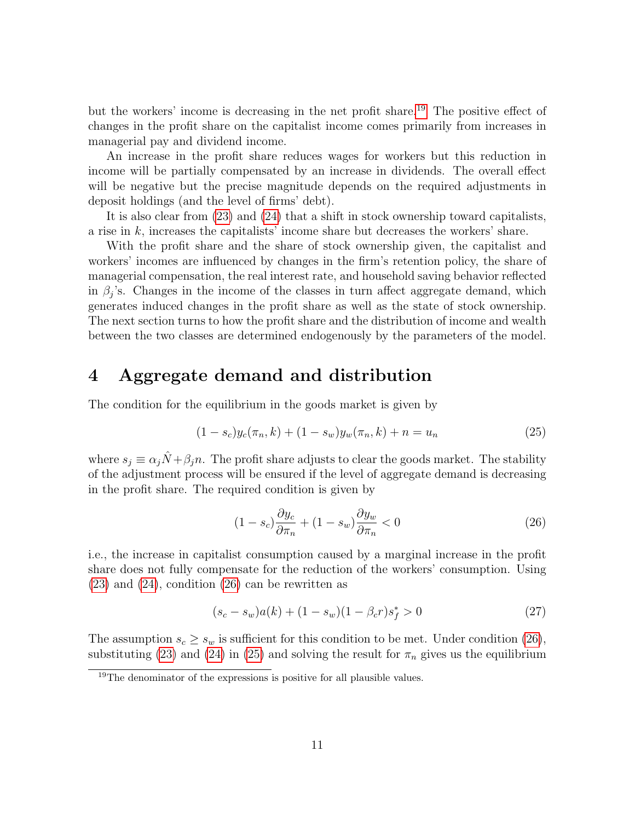but the workers' income is decreasing in the net profit share.<sup>[19](#page-12-0)</sup> The positive effect of changes in the profit share on the capitalist income comes primarily from increases in managerial pay and dividend income.

An increase in the profit share reduces wages for workers but this reduction in income will be partially compensated by an increase in dividends. The overall effect will be negative but the precise magnitude depends on the required adjustments in deposit holdings (and the level of firms' debt).

It is also clear from [\(23\)](#page-11-1) and [\(24\)](#page-11-2) that a shift in stock ownership toward capitalists, a rise in k, increases the capitalists' income share but decreases the workers' share.

With the profit share and the share of stock ownership given, the capitalist and workers' incomes are influenced by changes in the firm's retention policy, the share of managerial compensation, the real interest rate, and household saving behavior reflected in  $\beta_j$ 's. Changes in the income of the classes in turn affect aggregate demand, which generates induced changes in the profit share as well as the state of stock ownership. The next section turns to how the profit share and the distribution of income and wealth between the two classes are determined endogenously by the parameters of the model.

### 4 Aggregate demand and distribution

The condition for the equilibrium in the goods market is given by

<span id="page-12-2"></span>
$$
(1 - s_c)y_c(\pi_n, k) + (1 - s_w)y_w(\pi_n, k) + n = u_n
$$
\n(25)

where  $s_i \equiv \alpha_i \hat{N} + \beta_i n$ . The profit share adjusts to clear the goods market. The stability of the adjustment process will be ensured if the level of aggregate demand is decreasing in the profit share. The required condition is given by

<span id="page-12-1"></span>
$$
(1 - s_c)\frac{\partial y_c}{\partial \pi_n} + (1 - s_w)\frac{\partial y_w}{\partial \pi_n} < 0 \tag{26}
$$

i.e., the increase in capitalist consumption caused by a marginal increase in the profit share does not fully compensate for the reduction of the workers' consumption. Using [\(23\)](#page-11-1) and [\(24\)](#page-11-2), condition [\(26\)](#page-12-1) can be rewritten as

$$
(s_c - s_w)a(k) + (1 - s_w)(1 - \beta_c r)s_f^* > 0
$$
\n(27)

The assumption  $s_c \geq s_w$  is sufficient for this condition to be met. Under condition [\(26\)](#page-12-1), substituting [\(23\)](#page-11-1) and [\(24\)](#page-11-2) in [\(25\)](#page-12-2) and solving the result for  $\pi_n$  gives us the equilibrium

<span id="page-12-0"></span> $19$ The denominator of the expressions is positive for all plausible values.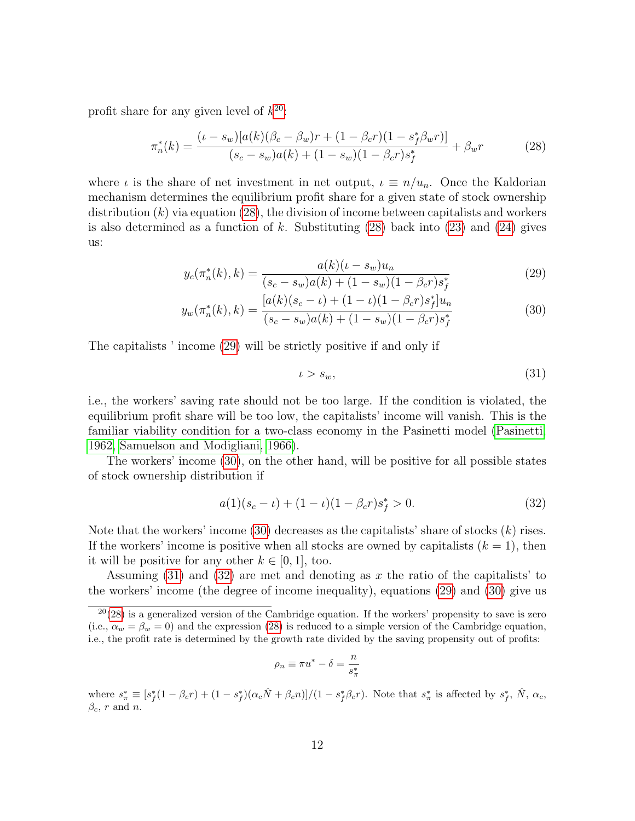profit share for any given level of  $k^{20}$  $k^{20}$  $k^{20}$ :

<span id="page-13-1"></span>
$$
\pi_n^*(k) = \frac{(\iota - s_w)[a(k)(\beta_c - \beta_w)r + (1 - \beta_c r)(1 - s_f^*\beta_w r)]}{(s_c - s_w)a(k) + (1 - s_w)(1 - \beta_c r)s_f^*} + \beta_w r
$$
\n(28)

where  $\iota$  is the share of net investment in net output,  $\iota \equiv n/u_n$ . Once the Kaldorian mechanism determines the equilibrium profit share for a given state of stock ownership distribution  $(k)$  via equation [\(28\)](#page-13-1), the division of income between capitalists and workers is also determined as a function of k. Substituting  $(28)$  back into  $(23)$  and  $(24)$  gives us:

$$
y_c(\pi_n^*(k), k) = \frac{a(k)(\iota - s_w)u_n}{(s_c - s_w)a(k) + (1 - s_w)(1 - \beta_c r)s_f^*}
$$
(29)

$$
y_w(\pi_n^*(k), k) = \frac{[a(k)(s_c - \iota) + (1 - \iota)(1 - \beta_c r)s_f^*]u_n}{(s_c - s_w)a(k) + (1 - s_w)(1 - \beta_c r)s_f^*}
$$
(30)

The capitalists ' income [\(29\)](#page-13-2) will be strictly positive if and only if

<span id="page-13-4"></span><span id="page-13-3"></span><span id="page-13-2"></span>
$$
t > s_w,\tag{31}
$$

i.e., the workers' saving rate should not be too large. If the condition is violated, the equilibrium profit share will be too low, the capitalists' income will vanish. This is the familiar viability condition for a two-class economy in the Pasinetti model [\(Pasinetti,](#page-26-3) [1962,](#page-26-3) [Samuelson and Modigliani, 1966\)](#page-27-3).

The workers' income [\(30\)](#page-13-3), on the other hand, will be positive for all possible states of stock ownership distribution if

<span id="page-13-5"></span>
$$
a(1)(s_c - \iota) + (1 - \iota)(1 - \beta_c r)s_f^* > 0.
$$
\n(32)

Note that the workers' income  $(30)$  decreases as the capitalists' share of stocks  $(k)$  rises. If the workers' income is positive when all stocks are owned by capitalists  $(k = 1)$ , then it will be positive for any other  $k \in [0, 1]$ , too.

Assuming  $(31)$  and  $(32)$  are met and denoting as x the ratio of the capitalists' to the workers' income (the degree of income inequality), equations [\(29\)](#page-13-2) and [\(30\)](#page-13-3) give us

$$
\rho_n \equiv \pi u^* - \delta = \frac{n}{s^*_{\pi}}
$$

where  $s^*_{\pi} \equiv [s^*_{f}(1-\beta_c r) + (1-s^*_{f})(\alpha_c \hat{N} + \beta_c n)]/(1-s^*_{f} \beta_c r)$ . Note that  $s^*_{\pi}$  is affected by  $s^*_{f}$ ,  $\hat{N}$ ,  $\alpha_c$ ,  $\beta_c$ , r and n.

<span id="page-13-0"></span> $20(28)$  $20(28)$  is a generalized version of the Cambridge equation. If the workers' propensity to save is zero (i.e.,  $\alpha_w = \beta_w = 0$ ) and the expression [\(28\)](#page-13-1) is reduced to a simple version of the Cambridge equation, i.e., the profit rate is determined by the growth rate divided by the saving propensity out of profits: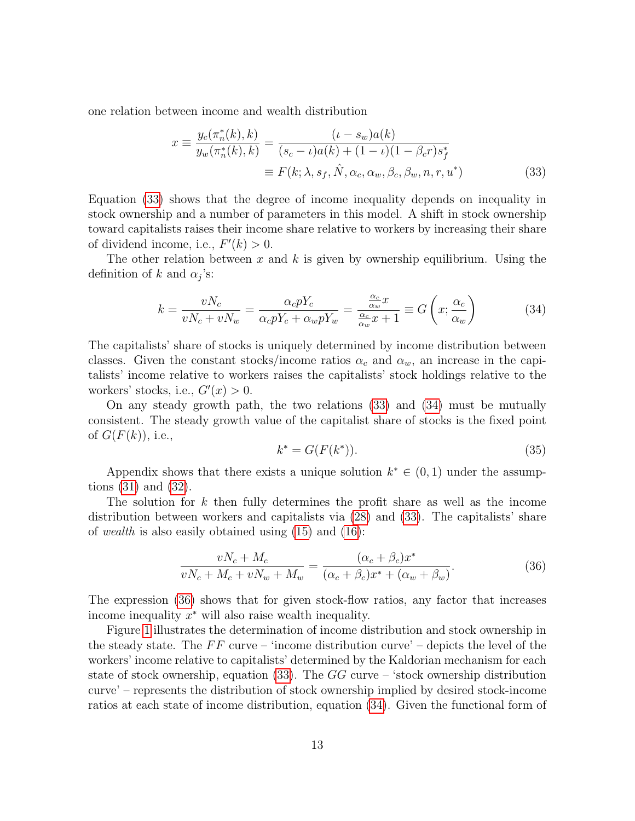one relation between income and wealth distribution

<span id="page-14-0"></span>
$$
x \equiv \frac{y_c(\pi_n^*(k), k)}{y_w(\pi_n^*(k), k)} = \frac{(\iota - s_w)a(k)}{(s_c - \iota)a(k) + (1 - \iota)(1 - \beta_c r)s_f^*}
$$
  

$$
\equiv F(k; \lambda, s_f, \hat{N}, \alpha_c, \alpha_w, \beta_c, \beta_w, n, r, u^*)
$$
(33)

Equation [\(33\)](#page-14-0) shows that the degree of income inequality depends on inequality in stock ownership and a number of parameters in this model. A shift in stock ownership toward capitalists raises their income share relative to workers by increasing their share of dividend income, i.e.,  $F'(k) > 0$ .

The other relation between x and k is given by ownership equilibrium. Using the definition of k and  $\alpha_j$ 's:

<span id="page-14-1"></span>
$$
k = \frac{vN_c}{vN_c + vN_w} = \frac{\alpha_c pY_c}{\alpha_c pY_c + \alpha_w pY_w} = \frac{\frac{\alpha_c}{\alpha_w}x}{\frac{\alpha_c}{\alpha_w}x + 1} \equiv G\left(x; \frac{\alpha_c}{\alpha_w}\right)
$$
(34)

The capitalists' share of stocks is uniquely determined by income distribution between classes. Given the constant stocks/income ratios  $\alpha_c$  and  $\alpha_w$ , an increase in the capitalists' income relative to workers raises the capitalists' stock holdings relative to the workers' stocks, i.e.,  $G'(x) > 0$ .

On any steady growth path, the two relations [\(33\)](#page-14-0) and [\(34\)](#page-14-1) must be mutually consistent. The steady growth value of the capitalist share of stocks is the fixed point of  $G(F(k))$ , i.e.,

$$
k^* = G(F(k^*)).
$$
\n(35)

Appendix shows that there exists a unique solution  $k^* \in (0,1)$  under the assumptions [\(31\)](#page-13-4) and [\(32\)](#page-13-5).

The solution for k then fully determines the profit share as well as the income distribution between workers and capitalists via [\(28\)](#page-13-1) and [\(33\)](#page-14-0). The capitalists' share of wealth is also easily obtained using  $(15)$  and  $(16)$ :

<span id="page-14-2"></span>
$$
\frac{vN_c + M_c}{vN_c + M_c + vN_w + M_w} = \frac{(\alpha_c + \beta_c)x^*}{(\alpha_c + \beta_c)x^* + (\alpha_w + \beta_w)}.
$$
\n(36)

The expression [\(36\)](#page-14-2) shows that for given stock-flow ratios, any factor that increases income inequality  $x^*$  will also raise wealth inequality.

Figure [1](#page-15-0) illustrates the determination of income distribution and stock ownership in the steady state. The  $FF$  curve – 'income distribution curve' – depicts the level of the workers' income relative to capitalists' determined by the Kaldorian mechanism for each state of stock ownership, equation [\(33\)](#page-14-0). The  $GG$  curve – 'stock ownership distribution curve' – represents the distribution of stock ownership implied by desired stock-income ratios at each state of income distribution, equation [\(34\)](#page-14-1). Given the functional form of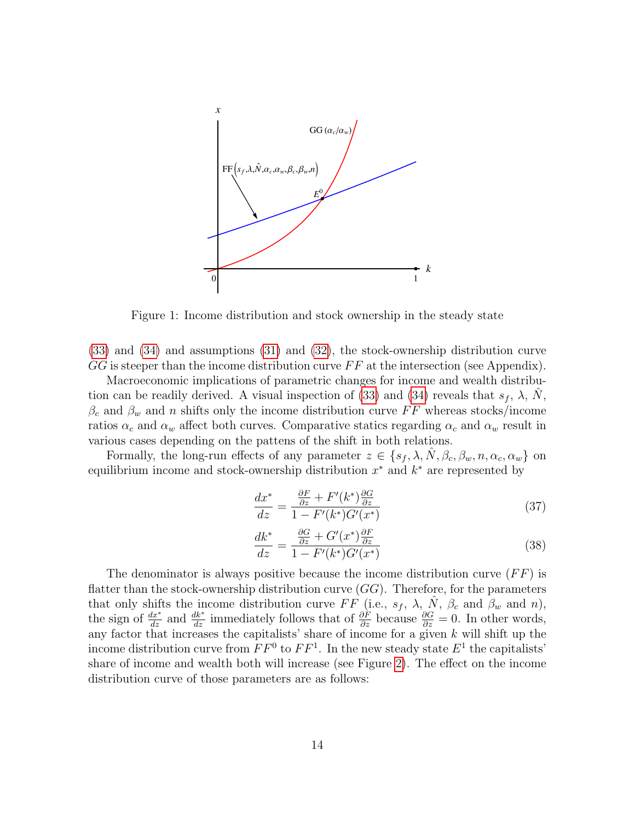

<span id="page-15-0"></span>Figure 1: Income distribution and stock ownership in the steady state

[\(33\)](#page-14-0) and [\(34\)](#page-14-1) and assumptions [\(31\)](#page-13-4) and [\(32\)](#page-13-5), the stock-ownership distribution curve  $GG$  is steeper than the income distribution curve  $FF$  at the intersection (see Appendix).

Macroeconomic implications of parametric changes for income and wealth distribu-tion can be readily derived. A visual inspection of [\(33\)](#page-14-0) and [\(34\)](#page-14-1) reveals that  $s_f$ ,  $\lambda$ ,  $\dot{N}$ ,  $\beta_c$  and  $\beta_w$  and n shifts only the income distribution curve FF whereas stocks/income ratios  $\alpha_c$  and  $\alpha_w$  affect both curves. Comparative statics regarding  $\alpha_c$  and  $\alpha_w$  result in various cases depending on the pattens of the shift in both relations.

Formally, the long-run effects of any parameter  $z \in \{s_f, \lambda, \hat{N}, \beta_c, \beta_w, n, \alpha_c, \alpha_w\}$  on equilibrium income and stock-ownership distribution  $x^*$  and  $k^*$  are represented by

$$
\frac{dx^*}{dz} = \frac{\frac{\partial F}{\partial z} + F'(k^*) \frac{\partial G}{\partial z}}{1 - F'(k^*) G'(x^*)}
$$
(37)

$$
\frac{dk^*}{dz} = \frac{\frac{\partial G}{\partial z} + G'(x^*) \frac{\partial F}{\partial z}}{1 - F'(k^*) G'(x^*)}
$$
(38)

The denominator is always positive because the income distribution curve  $(FF)$  is flatter than the stock-ownership distribution curve  $(GG)$ . Therefore, for the parameters that only shifts the income distribution curve  $FF$  (i.e.,  $s_f$ ,  $\lambda$ ,  $\hat{N}$ ,  $\beta_c$  and  $\beta_w$  and n), the sign of  $\frac{dx^*}{dz}$  and  $\frac{dk^*}{dz}$  immediately follows that of  $\frac{\partial F}{\partial z}$  because  $\frac{\partial G}{\partial z} = 0$ . In other words, any factor that increases the capitalists' share of income for a given  $k$  will shift up the income distribution curve from  $FF^0$  to  $FF^1$ . In the new steady state  $E^1$  the capitalists' share of income and wealth both will increase (see Figure [2\)](#page-16-0). The effect on the income distribution curve of those parameters are as follows: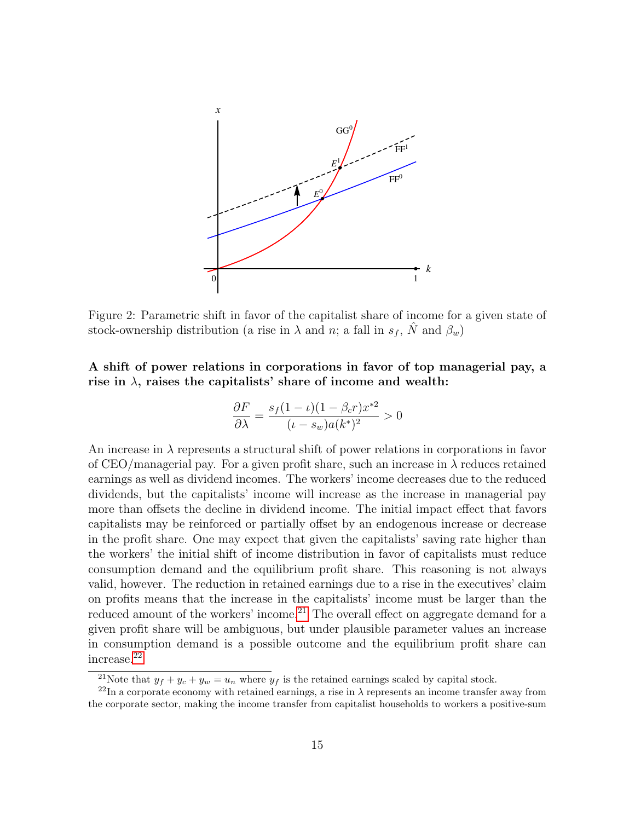

<span id="page-16-0"></span>Figure 2: Parametric shift in favor of the capitalist share of income for a given state of stock-ownership distribution (a rise in  $\lambda$  and n; a fall in  $s_f$ , N and  $\beta_w$ )

A shift of power relations in corporations in favor of top managerial pay, a rise in  $\lambda$ , raises the capitalists' share of income and wealth:

$$
\frac{\partial F}{\partial \lambda} = \frac{s_f (1 - \iota)(1 - \beta_c r) x^{*2}}{(\iota - s_w) a(k^*)^2} > 0
$$

An increase in  $\lambda$  represents a structural shift of power relations in corporations in favor of CEO/managerial pay. For a given profit share, such an increase in  $\lambda$  reduces retained earnings as well as dividend incomes. The workers' income decreases due to the reduced dividends, but the capitalists' income will increase as the increase in managerial pay more than offsets the decline in dividend income. The initial impact effect that favors capitalists may be reinforced or partially offset by an endogenous increase or decrease in the profit share. One may expect that given the capitalists' saving rate higher than the workers' the initial shift of income distribution in favor of capitalists must reduce consumption demand and the equilibrium profit share. This reasoning is not always valid, however. The reduction in retained earnings due to a rise in the executives' claim on profits means that the increase in the capitalists' income must be larger than the reduced amount of the workers' income.<sup>[21](#page-16-1)</sup> The overall effect on aggregate demand for a given profit share will be ambiguous, but under plausible parameter values an increase in consumption demand is a possible outcome and the equilibrium profit share can increase.[22](#page-16-2)

<span id="page-16-2"></span><span id="page-16-1"></span><sup>&</sup>lt;sup>21</sup>Note that  $y_f + y_c + y_w = u_n$  where  $y_f$  is the retained earnings scaled by capital stock.

<sup>&</sup>lt;sup>22</sup>In a corporate economy with retained earnings, a rise in  $\lambda$  represents an income transfer away from the corporate sector, making the income transfer from capitalist households to workers a positive-sum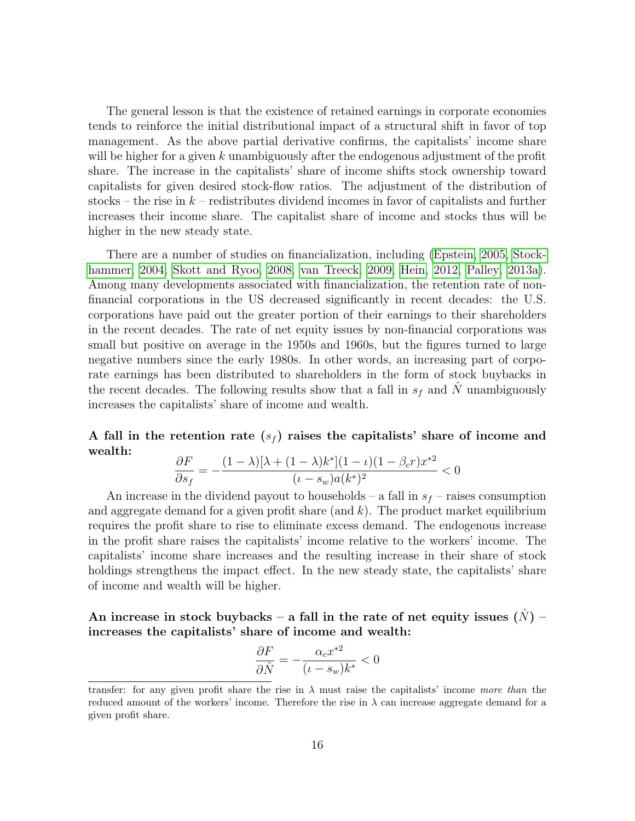The general lesson is that the existence of retained earnings in corporate economies tends to reinforce the initial distributional impact of a structural shift in favor of top management. As the above partial derivative confirms, the capitalists' income share will be higher for a given k unambiguously after the endogenous adjustment of the profit share. The increase in the capitalists' share of income shifts stock ownership toward capitalists for given desired stock-flow ratios. The adjustment of the distribution of stocks – the rise in  $k$  – redistributes dividend incomes in favor of capitalists and further increases their income share. The capitalist share of income and stocks thus will be higher in the new steady state.

There are a number of studies on financialization, including [\(Epstein, 2005,](#page-24-13) [Stock](#page-27-8)[hammer, 2004,](#page-27-8) [Skott and Ryoo, 2008,](#page-27-7) [van Treeck, 2009,](#page-27-9) [Hein, 2012,](#page-24-14) [Palley, 2013a\)](#page-26-11). Among many developments associated with financialization, the retention rate of nonfinancial corporations in the US decreased significantly in recent decades: the U.S. corporations have paid out the greater portion of their earnings to their shareholders in the recent decades. The rate of net equity issues by non-financial corporations was small but positive on average in the 1950s and 1960s, but the figures turned to large negative numbers since the early 1980s. In other words, an increasing part of corporate earnings has been distributed to shareholders in the form of stock buybacks in the recent decades. The following results show that a fall in  $s_f$  and N unambiguously increases the capitalists' share of income and wealth.

A fall in the retention rate  $(s_f)$  raises the capitalists' share of income and wealth:

$$
\frac{\partial F}{\partial s_f}=-\frac{(1-\lambda)[\lambda+(1-\lambda)k^*](1-\iota)(1-\beta_c r)x^{*2}}{(\iota-s_w)a(k^*)^2}<0
$$

An increase in the dividend payout to households – a fall in  $s_f$  – raises consumption and aggregate demand for a given profit share (and  $k$ ). The product market equilibrium requires the profit share to rise to eliminate excess demand. The endogenous increase in the profit share raises the capitalists' income relative to the workers' income. The capitalists' income share increases and the resulting increase in their share of stock holdings strengthens the impact effect. In the new steady state, the capitalists' share of income and wealth will be higher.

An increase in stock buybacks – a fall in the rate of net equity issues  $(N)$  – increases the capitalists' share of income and wealth:

$$
\frac{\partial F}{\partial \hat{N}} = -\frac{\alpha_c x^{*2}}{(\iota - s_w)k^*} < 0
$$

transfer: for any given profit share the rise in  $\lambda$  must raise the capitalists' income more than the reduced amount of the workers' income. Therefore the rise in  $\lambda$  can increase aggregate demand for a given profit share.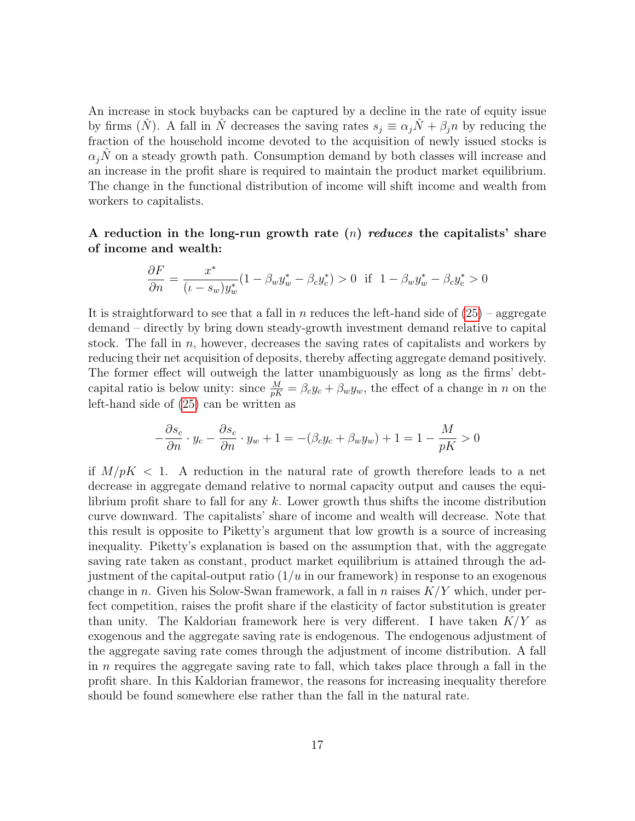An increase in stock buybacks can be captured by a decline in the rate of equity issue by firms  $(N)$ . A fall in  $\hat{N}$  decreases the saving rates  $s_i \equiv \alpha_i \hat{N} + \beta_i n$  by reducing the fraction of the household income devoted to the acquisition of newly issued stocks is  $\alpha_i$ N on a steady growth path. Consumption demand by both classes will increase and an increase in the profit share is required to maintain the product market equilibrium. The change in the functional distribution of income will shift income and wealth from workers to capitalists.

#### A reduction in the long-run growth rate  $(n)$  reduces the capitalists' share of income and wealth:

$$
\frac{\partial F}{\partial n} = \frac{x^*}{(\iota - s_w)y_w^*} (1 - \beta_w y_w^* - \beta_c y_c^*) > 0 \quad \text{if} \quad 1 - \beta_w y_w^* - \beta_c y_c^* > 0
$$

It is straightforward to see that a fall in n reduces the left-hand side of  $(25)$  – aggregate demand – directly by bring down steady-growth investment demand relative to capital stock. The fall in  $n$ , however, decreases the saving rates of capitalists and workers by reducing their net acquisition of deposits, thereby affecting aggregate demand positively. The former effect will outweigh the latter unambiguously as long as the firms' debtcapital ratio is below unity: since  $\frac{M}{pK} = \beta_c y_c + \beta_w y_w$ , the effect of a change in n on the left-hand side of [\(25\)](#page-12-2) can be written as

$$
-\frac{\partial s_c}{\partial n} \cdot y_c - \frac{\partial s_c}{\partial n} \cdot y_w + 1 = -(\beta_c y_c + \beta_w y_w) + 1 = 1 - \frac{M}{pK} > 0
$$

if  $M/pK < 1$ . A reduction in the natural rate of growth therefore leads to a net decrease in aggregate demand relative to normal capacity output and causes the equilibrium profit share to fall for any  $k$ . Lower growth thus shifts the income distribution curve downward. The capitalists' share of income and wealth will decrease. Note that this result is opposite to Piketty's argument that low growth is a source of increasing inequality. Piketty's explanation is based on the assumption that, with the aggregate saving rate taken as constant, product market equilibrium is attained through the adjustment of the capital-output ratio  $(1/u$  in our framework) in response to an exogenous change in n. Given his Solow-Swan framework, a fall in n raises  $K/Y$  which, under perfect competition, raises the profit share if the elasticity of factor substitution is greater than unity. The Kaldorian framework here is very different. I have taken  $K/Y$  as exogenous and the aggregate saving rate is endogenous. The endogenous adjustment of the aggregate saving rate comes through the adjustment of income distribution. A fall in  $n$  requires the aggregate saving rate to fall, which takes place through a fall in the profit share. In this Kaldorian framewor, the reasons for increasing inequality therefore should be found somewhere else rather than the fall in the natural rate.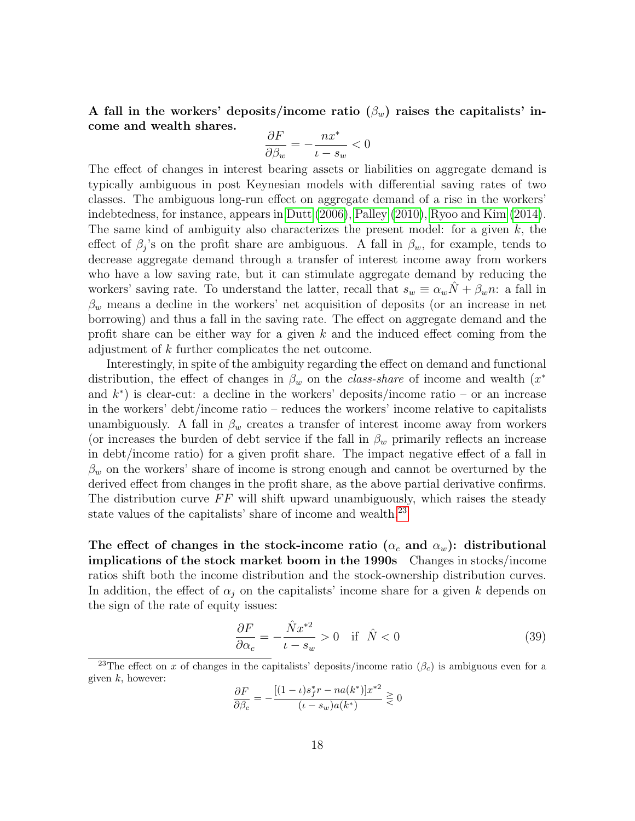A fall in the workers' deposits/income ratio  $(\beta_w)$  raises the capitalists' income and wealth shares.

$$
\frac{\partial F}{\partial \beta_w}=-\frac{nx^*}{\iota-s_w}<0
$$

The effect of changes in interest bearing assets or liabilities on aggregate demand is typically ambiguous in post Keynesian models with differential saving rates of two classes. The ambiguous long-run effect on aggregate demand of a rise in the workers' indebtedness, for instance, appears in [Dutt](#page-24-15) [\(2006\)](#page-24-15), [Palley](#page-25-10) [\(2010\)](#page-25-10), [Ryoo and Kim](#page-27-10) [\(2014\)](#page-27-10). The same kind of ambiguity also characterizes the present model: for a given  $k$ , the effect of  $\beta_j$ 's on the profit share are ambiguous. A fall in  $\beta_w$ , for example, tends to decrease aggregate demand through a transfer of interest income away from workers who have a low saving rate, but it can stimulate aggregate demand by reducing the workers' saving rate. To understand the latter, recall that  $s_w \equiv \alpha_w \hat{N} + \beta_w n$ : a fall in  $\beta_w$  means a decline in the workers' net acquisition of deposits (or an increase in net borrowing) and thus a fall in the saving rate. The effect on aggregate demand and the profit share can be either way for a given  $k$  and the induced effect coming from the adjustment of k further complicates the net outcome.

Interestingly, in spite of the ambiguity regarding the effect on demand and functional distribution, the effect of changes in  $\beta_w$  on the *class-share* of income and wealth  $(x^*)$ and  $k^*$ ) is clear-cut: a decline in the workers' deposits/income ratio – or an increase in the workers' debt/income ratio – reduces the workers' income relative to capitalists unambiguously. A fall in  $\beta_w$  creates a transfer of interest income away from workers (or increases the burden of debt service if the fall in  $\beta_w$  primarily reflects an increase in debt/income ratio) for a given profit share. The impact negative effect of a fall in  $\beta_w$  on the workers' share of income is strong enough and cannot be overturned by the derived effect from changes in the profit share, as the above partial derivative confirms. The distribution curve  $FF$  will shift upward unambiguously, which raises the steady state values of the capitalists' share of income and wealth.<sup>[23](#page-19-0)</sup>

The effect of changes in the stock-income ratio ( $\alpha_c$  and  $\alpha_w$ ): distributional implications of the stock market boom in the 1990s Changes in stocks/income ratios shift both the income distribution and the stock-ownership distribution curves. In addition, the effect of  $\alpha_j$  on the capitalists' income share for a given k depends on the sign of the rate of equity issues:

$$
\frac{\partial F}{\partial \alpha_c} = -\frac{\hat{N}x^{*2}}{\iota - s_w} > 0 \quad \text{if} \quad \hat{N} < 0 \tag{39}
$$

$$
\frac{\partial F}{\partial \beta_c} = -\frac{[(1-\iota)s_f^*r - na(k^*)]x^{*2}}{(\iota - s_w)a(k^*)} \gtrless 0
$$

<span id="page-19-0"></span><sup>&</sup>lt;sup>23</sup>The effect on x of changes in the capitalists' deposits/income ratio  $(\beta_c)$  is ambiguous even for a given  $k$ , however: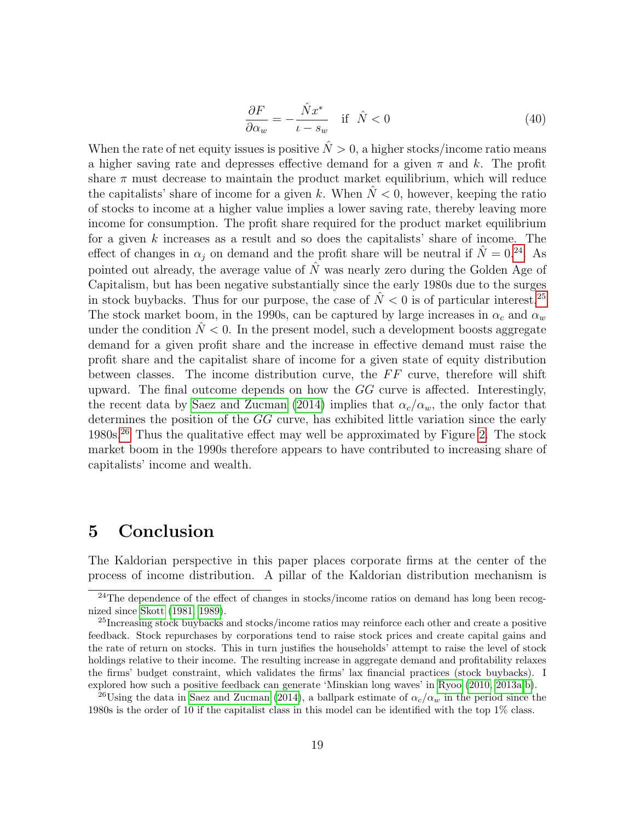$$
\frac{\partial F}{\partial \alpha_w} = -\frac{\hat{N}x^*}{t - s_w} \quad \text{if} \quad \hat{N} < 0 \tag{40}
$$

When the rate of net equity issues is positive  $\hat{N} > 0$ , a higher stocks/income ratio means a higher saving rate and depresses effective demand for a given  $\pi$  and k. The profit share  $\pi$  must decrease to maintain the product market equilibrium, which will reduce the capitalists' share of income for a given k. When  $N < 0$ , however, keeping the ratio of stocks to income at a higher value implies a lower saving rate, thereby leaving more income for consumption. The profit share required for the product market equilibrium for a given  $k$  increases as a result and so does the capitalists' share of income. The effect of changes in  $\alpha_j$  on demand and the profit share will be neutral if  $\hat{N} = 0.^{24}$  $\hat{N} = 0.^{24}$  $\hat{N} = 0.^{24}$ . As pointed out already, the average value of  $\hat{N}$  was nearly zero during the Golden Age of Capitalism, but has been negative substantially since the early 1980s due to the surges in stock buybacks. Thus for our purpose, the case of  $N < 0$  is of particular interest.<sup>[25](#page-20-1)</sup> The stock market boom, in the 1990s, can be captured by large increases in  $\alpha_c$  and  $\alpha_w$ under the condition  $N < 0$ . In the present model, such a development boosts aggregate demand for a given profit share and the increase in effective demand must raise the profit share and the capitalist share of income for a given state of equity distribution between classes. The income distribution curve, the  $FF$  curve, therefore will shift upward. The final outcome depends on how the  $GG$  curve is affected. Interestingly, the recent data by [Saez and Zucman](#page-27-11) [\(2014\)](#page-27-11) implies that  $\alpha_c/\alpha_w$ , the only factor that determines the position of the GG curve, has exhibited little variation since the early  $1980s<sup>26</sup>$  $1980s<sup>26</sup>$  $1980s<sup>26</sup>$  Thus the qualitative effect may well be approximated by Figure [2.](#page-16-0) The stock market boom in the 1990s therefore appears to have contributed to increasing share of capitalists' income and wealth.

### 5 Conclusion

The Kaldorian perspective in this paper places corporate firms at the center of the process of income distribution. A pillar of the Kaldorian distribution mechanism is

<span id="page-20-0"></span> $24$ The dependence of the effect of changes in stocks/income ratios on demand has long been recognized since [Skott](#page-27-6) [\(1981,](#page-27-6) [1989\)](#page-27-5).

<span id="page-20-1"></span><sup>&</sup>lt;sup>25</sup>Increasing stock buybacks and stocks/income ratios may reinforce each other and create a positive feedback. Stock repurchases by corporations tend to raise stock prices and create capital gains and the rate of return on stocks. This in turn justifies the households' attempt to raise the level of stock holdings relative to their income. The resulting increase in aggregate demand and profitability relaxes the firms' budget constraint, which validates the firms' lax financial practices (stock buybacks). I explored how such a positive feedback can generate 'Minskian long waves' in [Ryoo](#page-26-12) [\(2010,](#page-26-12) [2013a,](#page-26-13)[b\)](#page-27-12).

<span id="page-20-2"></span><sup>&</sup>lt;sup>26</sup>Using the data in [Saez and Zucman](#page-27-11) [\(2014\)](#page-27-11), a ballpark estimate of  $\alpha_c/\alpha_w$  in the period since the 1980s is the order of 10 if the capitalist class in this model can be identified with the top 1% class.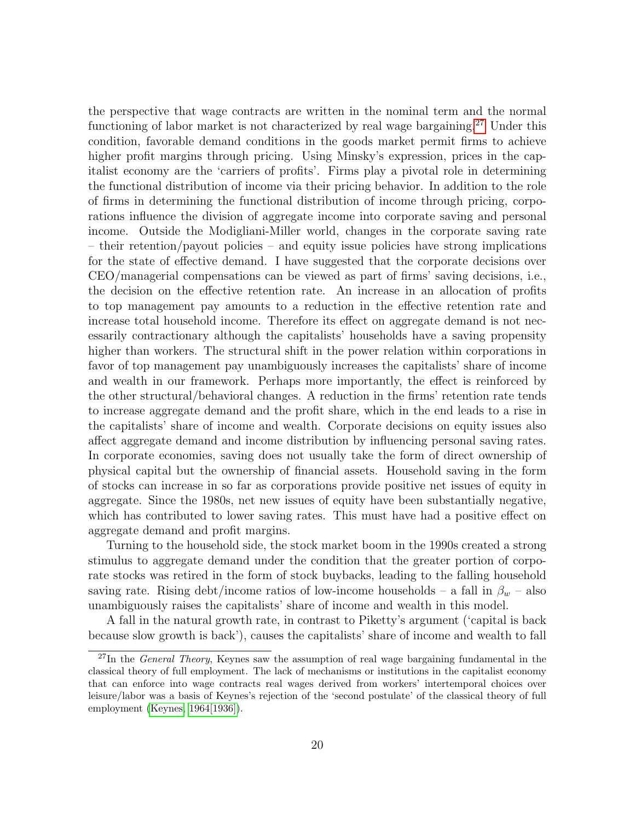the perspective that wage contracts are written in the nominal term and the normal functioning of labor market is not characterized by real wage bargaining.<sup>[27](#page-21-0)</sup> Under this condition, favorable demand conditions in the goods market permit firms to achieve higher profit margins through pricing. Using Minsky's expression, prices in the capitalist economy are the 'carriers of profits'. Firms play a pivotal role in determining the functional distribution of income via their pricing behavior. In addition to the role of firms in determining the functional distribution of income through pricing, corporations influence the division of aggregate income into corporate saving and personal income. Outside the Modigliani-Miller world, changes in the corporate saving rate – their retention/payout policies – and equity issue policies have strong implications for the state of effective demand. I have suggested that the corporate decisions over CEO/managerial compensations can be viewed as part of firms' saving decisions, i.e., the decision on the effective retention rate. An increase in an allocation of profits to top management pay amounts to a reduction in the effective retention rate and increase total household income. Therefore its effect on aggregate demand is not necessarily contractionary although the capitalists' households have a saving propensity higher than workers. The structural shift in the power relation within corporations in favor of top management pay unambiguously increases the capitalists' share of income and wealth in our framework. Perhaps more importantly, the effect is reinforced by the other structural/behavioral changes. A reduction in the firms' retention rate tends to increase aggregate demand and the profit share, which in the end leads to a rise in the capitalists' share of income and wealth. Corporate decisions on equity issues also affect aggregate demand and income distribution by influencing personal saving rates. In corporate economies, saving does not usually take the form of direct ownership of physical capital but the ownership of financial assets. Household saving in the form of stocks can increase in so far as corporations provide positive net issues of equity in aggregate. Since the 1980s, net new issues of equity have been substantially negative, which has contributed to lower saving rates. This must have had a positive effect on aggregate demand and profit margins.

Turning to the household side, the stock market boom in the 1990s created a strong stimulus to aggregate demand under the condition that the greater portion of corporate stocks was retired in the form of stock buybacks, leading to the falling household saving rate. Rising debt/income ratios of low-income households – a fall in  $\beta_w$  – also unambiguously raises the capitalists' share of income and wealth in this model.

A fall in the natural growth rate, in contrast to Piketty's argument ('capital is back because slow growth is back'), causes the capitalists' share of income and wealth to fall

<span id="page-21-0"></span> $^{27}$ In the *General Theory*, Keynes saw the assumption of real wage bargaining fundamental in the classical theory of full employment. The lack of mechanisms or institutions in the capitalist economy that can enforce into wage contracts real wages derived from workers' intertemporal choices over leisure/labor was a basis of Keynes's rejection of the 'second postulate' of the classical theory of full employment [\(Keynes, 1964\[1936\]\)](#page-25-11).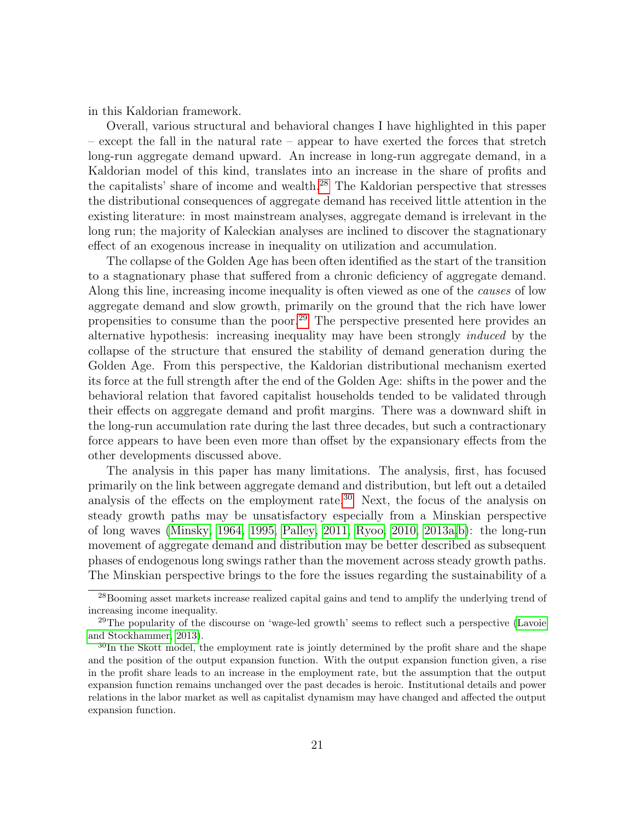in this Kaldorian framework.

Overall, various structural and behavioral changes I have highlighted in this paper – except the fall in the natural rate – appear to have exerted the forces that stretch long-run aggregate demand upward. An increase in long-run aggregate demand, in a Kaldorian model of this kind, translates into an increase in the share of profits and the capitalists' share of income and wealth.<sup>[28](#page-22-0)</sup> The Kaldorian perspective that stresses the distributional consequences of aggregate demand has received little attention in the existing literature: in most mainstream analyses, aggregate demand is irrelevant in the long run; the majority of Kaleckian analyses are inclined to discover the stagnationary effect of an exogenous increase in inequality on utilization and accumulation.

The collapse of the Golden Age has been often identified as the start of the transition to a stagnationary phase that suffered from a chronic deficiency of aggregate demand. Along this line, increasing income inequality is often viewed as one of the causes of low aggregate demand and slow growth, primarily on the ground that the rich have lower propensities to consume than the poor.[29](#page-22-1) The perspective presented here provides an alternative hypothesis: increasing inequality may have been strongly induced by the collapse of the structure that ensured the stability of demand generation during the Golden Age. From this perspective, the Kaldorian distributional mechanism exerted its force at the full strength after the end of the Golden Age: shifts in the power and the behavioral relation that favored capitalist households tended to be validated through their effects on aggregate demand and profit margins. There was a downward shift in the long-run accumulation rate during the last three decades, but such a contractionary force appears to have been even more than offset by the expansionary effects from the other developments discussed above.

The analysis in this paper has many limitations. The analysis, first, has focused primarily on the link between aggregate demand and distribution, but left out a detailed analysis of the effects on the employment rate.<sup>[30](#page-22-2)</sup> Next, the focus of the analysis on steady growth paths may be unsatisfactory especially from a Minskian perspective of long waves [\(Minsky, 1964,](#page-25-12) [1995,](#page-25-13) [Palley, 2011,](#page-26-14) [Ryoo, 2010,](#page-26-12) [2013a,](#page-26-13)[b\)](#page-27-12): the long-run movement of aggregate demand and distribution may be better described as subsequent phases of endogenous long swings rather than the movement across steady growth paths. The Minskian perspective brings to the fore the issues regarding the sustainability of a

<span id="page-22-0"></span><sup>&</sup>lt;sup>28</sup>Booming asset markets increase realized capital gains and tend to amplify the underlying trend of increasing income inequality.

<span id="page-22-1"></span><sup>&</sup>lt;sup>29</sup>The popularity of the discourse on 'wage-led growth' seems to reflect such a perspective [\(Lavoie](#page-25-0) [and Stockhammer, 2013\)](#page-25-0).

<span id="page-22-2"></span><sup>&</sup>lt;sup>30</sup>In the Skott model, the employment rate is jointly determined by the profit share and the shape and the position of the output expansion function. With the output expansion function given, a rise in the profit share leads to an increase in the employment rate, but the assumption that the output expansion function remains unchanged over the past decades is heroic. Institutional details and power relations in the labor market as well as capitalist dynamism may have changed and affected the output expansion function.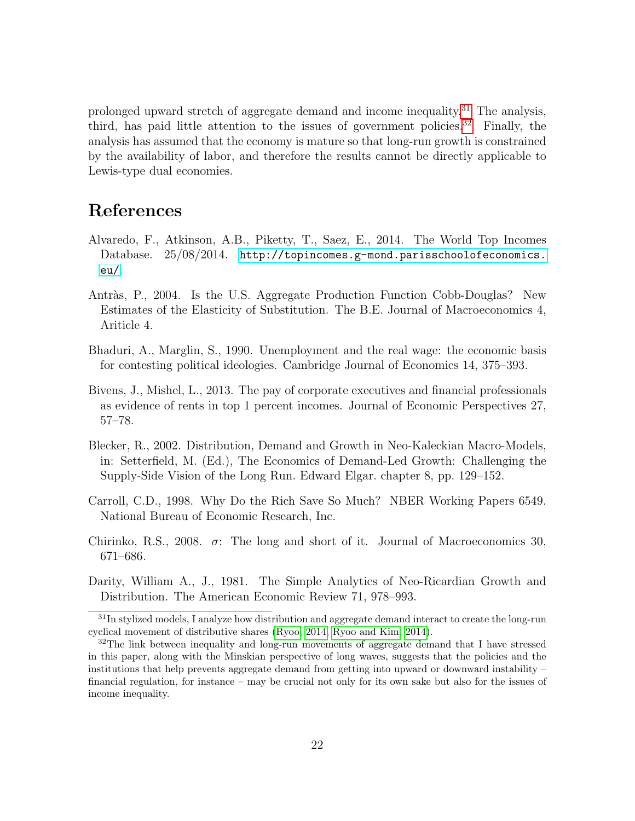prolonged upward stretch of aggregate demand and income inequality.[31](#page-23-8) The analysis, third, has paid little attention to the issues of government policies.<sup>[32](#page-23-9)</sup> Finally, the analysis has assumed that the economy is mature so that long-run growth is constrained by the availability of labor, and therefore the results cannot be directly applicable to Lewis-type dual economies.

## References

- <span id="page-23-0"></span>Alvaredo, F., Atkinson, A.B., Piketty, T., Saez, E., 2014. The World Top Incomes Database. 25/08/2014. [http://topincomes.g-mond.parisschoolofeconomics.](http://topincomes.g-mond.parisschoolofeconomics.eu/) [eu/](http://topincomes.g-mond.parisschoolofeconomics.eu/).
- <span id="page-23-3"></span>Antràs, P., 2004. Is the U.S. Aggregate Production Function Cobb-Douglas? New Estimates of the Elasticity of Substitution. The B.E. Journal of Macroeconomics 4, Ariticle 4.
- <span id="page-23-1"></span>Bhaduri, A., Marglin, S., 1990. Unemployment and the real wage: the economic basis for contesting political ideologies. Cambridge Journal of Economics 14, 375–393.
- <span id="page-23-6"></span>Bivens, J., Mishel, L., 2013. The pay of corporate executives and financial professionals as evidence of rents in top 1 percent incomes. Journal of Economic Perspectives 27, 57–78.
- <span id="page-23-2"></span>Blecker, R., 2002. Distribution, Demand and Growth in Neo-Kaleckian Macro-Models, in: Setterfield, M. (Ed.), The Economics of Demand-Led Growth: Challenging the Supply-Side Vision of the Long Run. Edward Elgar. chapter 8, pp. 129–152.
- <span id="page-23-7"></span>Carroll, C.D., 1998. Why Do the Rich Save So Much? NBER Working Papers 6549. National Bureau of Economic Research, Inc.
- <span id="page-23-4"></span>Chirinko, R.S., 2008.  $\sigma$ : The long and short of it. Journal of Macroeconomics 30, 671–686.
- <span id="page-23-5"></span>Darity, William A., J., 1981. The Simple Analytics of Neo-Ricardian Growth and Distribution. The American Economic Review 71, 978–993.

<span id="page-23-8"></span><sup>&</sup>lt;sup>31</sup>In stylized models, I analyze how distribution and aggregate demand interact to create the long-run cyclical movement of distributive shares [\(Ryoo, 2014,](#page-27-13) [Ryoo and Kim, 2014\)](#page-27-10).

<span id="page-23-9"></span> $32$ The link between inequality and long-run movements of aggregate demand that I have stressed in this paper, along with the Minskian perspective of long waves, suggests that the policies and the institutions that help prevents aggregate demand from getting into upward or downward instability – financial regulation, for instance – may be crucial not only for its own sake but also for the issues of income inequality.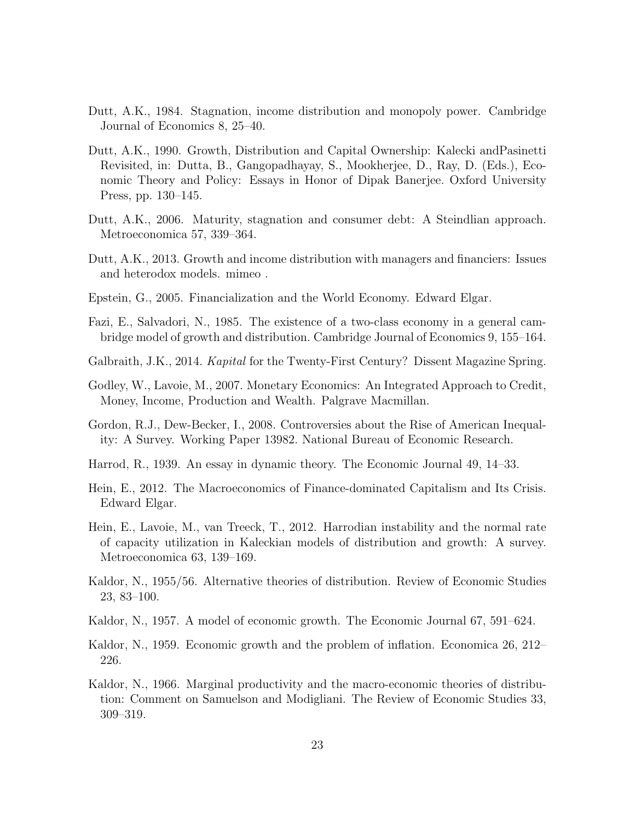- <span id="page-24-2"></span>Dutt, A.K., 1984. Stagnation, income distribution and monopoly power. Cambridge Journal of Economics 8, 25–40.
- <span id="page-24-4"></span>Dutt, A.K., 1990. Growth, Distribution and Capital Ownership: Kalecki andPasinetti Revisited, in: Dutta, B., Gangopadhayay, S., Mookherjee, D., Ray, D. (Eds.), Economic Theory and Policy: Essays in Honor of Dipak Banerjee. Oxford University Press, pp. 130–145.
- <span id="page-24-15"></span>Dutt, A.K., 2006. Maturity, stagnation and consumer debt: A Steindlian approach. Metroeconomica 57, 339–364.
- <span id="page-24-5"></span>Dutt, A.K., 2013. Growth and income distribution with managers and financiers: Issues and heterodox models. mimeo .
- <span id="page-24-13"></span>Epstein, G., 2005. Financialization and the World Economy. Edward Elgar.
- <span id="page-24-8"></span>Fazi, E., Salvadori, N., 1985. The existence of a two-class economy in a general cambridge model of growth and distribution. Cambridge Journal of Economics 9, 155–164.
- <span id="page-24-7"></span>Galbraith, J.K., 2014. Kapital for the Twenty-First Century? Dissent Magazine Spring.
- <span id="page-24-12"></span>Godley, W., Lavoie, M., 2007. Monetary Economics: An Integrated Approach to Credit, Money, Income, Production and Wealth. Palgrave Macmillan.
- <span id="page-24-9"></span>Gordon, R.J., Dew-Becker, I., 2008. Controversies about the Rise of American Inequality: A Survey. Working Paper 13982. National Bureau of Economic Research.
- <span id="page-24-3"></span>Harrod, R., 1939. An essay in dynamic theory. The Economic Journal 49, 14–33.
- <span id="page-24-14"></span>Hein, E., 2012. The Macroeconomics of Finance-dominated Capitalism and Its Crisis. Edward Elgar.
- <span id="page-24-6"></span>Hein, E., Lavoie, M., van Treeck, T., 2012. Harrodian instability and the normal rate of capacity utilization in Kaleckian models of distribution and growth: A survey. Metroeconomica 63, 139–169.
- <span id="page-24-0"></span>Kaldor, N., 1955/56. Alternative theories of distribution. Review of Economic Studies 23, 83–100.
- <span id="page-24-10"></span>Kaldor, N., 1957. A model of economic growth. The Economic Journal 67, 591–624.
- <span id="page-24-11"></span>Kaldor, N., 1959. Economic growth and the problem of inflation. Economica 26, 212– 226.
- <span id="page-24-1"></span>Kaldor, N., 1966. Marginal productivity and the macro-economic theories of distribution: Comment on Samuelson and Modigliani. The Review of Economic Studies 33, 309–319.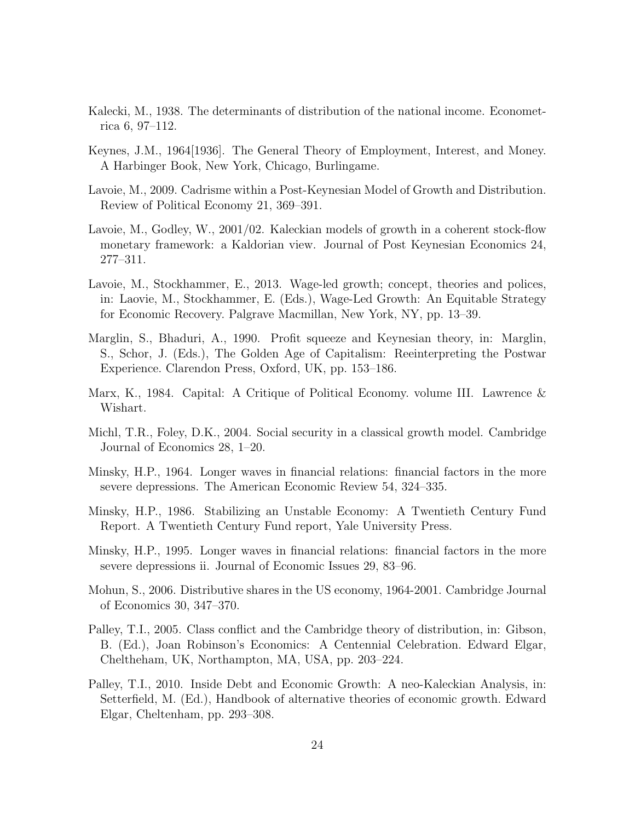- <span id="page-25-5"></span>Kalecki, M., 1938. The determinants of distribution of the national income. Econometrica 6, 97–112.
- <span id="page-25-11"></span>Keynes, J.M., 1964[1936]. The General Theory of Employment, Interest, and Money. A Harbinger Book, New York, Chicago, Burlingame.
- <span id="page-25-7"></span>Lavoie, M., 2009. Cadrisme within a Post-Keynesian Model of Growth and Distribution. Review of Political Economy 21, 369–391.
- <span id="page-25-9"></span>Lavoie, M., Godley, W., 2001/02. Kaleckian models of growth in a coherent stock-flow monetary framework: a Kaldorian view. Journal of Post Keynesian Economics 24, 277–311.
- <span id="page-25-0"></span>Lavoie, M., Stockhammer, E., 2013. Wage-led growth; concept, theories and polices, in: Laovie, M., Stockhammer, E. (Eds.), Wage-Led Growth: An Equitable Strategy for Economic Recovery. Palgrave Macmillan, New York, NY, pp. 13–39.
- <span id="page-25-1"></span>Marglin, S., Bhaduri, A., 1990. Profit squeeze and Keynesian theory, in: Marglin, S., Schor, J. (Eds.), The Golden Age of Capitalism: Reeinterpreting the Postwar Experience. Clarendon Press, Oxford, UK, pp. 153–186.
- <span id="page-25-4"></span>Marx, K., 1984. Capital: A Critique of Political Economy. volume III. Lawrence & Wishart.
- <span id="page-25-2"></span>Michl, T.R., Foley, D.K., 2004. Social security in a classical growth model. Cambridge Journal of Economics 28, 1–20.
- <span id="page-25-12"></span>Minsky, H.P., 1964. Longer waves in financial relations: financial factors in the more severe depressions. The American Economic Review 54, 324–335.
- <span id="page-25-6"></span>Minsky, H.P., 1986. Stabilizing an Unstable Economy: A Twentieth Century Fund Report. A Twentieth Century Fund report, Yale University Press.
- <span id="page-25-13"></span>Minsky, H.P., 1995. Longer waves in financial relations: financial factors in the more severe depressions ii. Journal of Economic Issues 29, 83–96.
- <span id="page-25-8"></span>Mohun, S., 2006. Distributive shares in the US economy, 1964-2001. Cambridge Journal of Economics 30, 347–370.
- <span id="page-25-3"></span>Palley, T.I., 2005. Class conflict and the Cambridge theory of distribution, in: Gibson, B. (Ed.), Joan Robinson's Economics: A Centennial Celebration. Edward Elgar, Cheltheham, UK, Northampton, MA, USA, pp. 203–224.
- <span id="page-25-10"></span>Palley, T.I., 2010. Inside Debt and Economic Growth: A neo-Kaleckian Analysis, in: Setterfield, M. (Ed.), Handbook of alternative theories of economic growth. Edward Elgar, Cheltenham, pp. 293–308.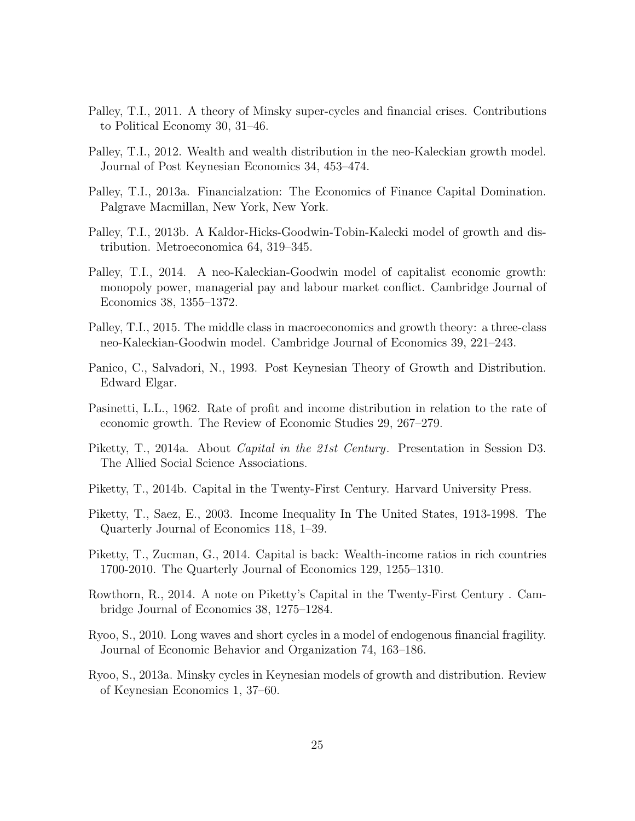- <span id="page-26-14"></span>Palley, T.I., 2011. A theory of Minsky super-cycles and financial crises. Contributions to Political Economy 30, 31–46.
- <span id="page-26-5"></span>Palley, T.I., 2012. Wealth and wealth distribution in the neo-Kaleckian growth model. Journal of Post Keynesian Economics 34, 453–474.
- <span id="page-26-11"></span>Palley, T.I., 2013a. Financialzation: The Economics of Finance Capital Domination. Palgrave Macmillan, New York, New York.
- <span id="page-26-8"></span>Palley, T.I., 2013b. A Kaldor-Hicks-Goodwin-Tobin-Kalecki model of growth and distribution. Metroeconomica 64, 319–345.
- <span id="page-26-9"></span>Palley, T.I., 2014. A neo-Kaleckian-Goodwin model of capitalist economic growth: monopoly power, managerial pay and labour market conflict. Cambridge Journal of Economics 38, 1355–1372.
- <span id="page-26-10"></span>Palley, T.I., 2015. The middle class in macroeconomics and growth theory: a three-class neo-Kaleckian-Goodwin model. Cambridge Journal of Economics 39, 221–243.
- <span id="page-26-7"></span>Panico, C., Salvadori, N., 1993. Post Keynesian Theory of Growth and Distribution. Edward Elgar.
- <span id="page-26-3"></span>Pasinetti, L.L., 1962. Rate of profit and income distribution in relation to the rate of economic growth. The Review of Economic Studies 29, 267–279.
- <span id="page-26-4"></span>Piketty, T., 2014a. About *Capital in the 21st Century*. Presentation in Session D3. The Allied Social Science Associations.
- <span id="page-26-1"></span>Piketty, T., 2014b. Capital in the Twenty-First Century. Harvard University Press.
- <span id="page-26-0"></span>Piketty, T., Saez, E., 2003. Income Inequality In The United States, 1913-1998. The Quarterly Journal of Economics 118, 1–39.
- <span id="page-26-2"></span>Piketty, T., Zucman, G., 2014. Capital is back: Wealth-income ratios in rich countries 1700-2010. The Quarterly Journal of Economics 129, 1255–1310.
- <span id="page-26-6"></span>Rowthorn, R., 2014. A note on Piketty's Capital in the Twenty-First Century . Cambridge Journal of Economics 38, 1275–1284.
- <span id="page-26-12"></span>Ryoo, S., 2010. Long waves and short cycles in a model of endogenous financial fragility. Journal of Economic Behavior and Organization 74, 163–186.
- <span id="page-26-13"></span>Ryoo, S., 2013a. Minsky cycles in Keynesian models of growth and distribution. Review of Keynesian Economics 1, 37–60.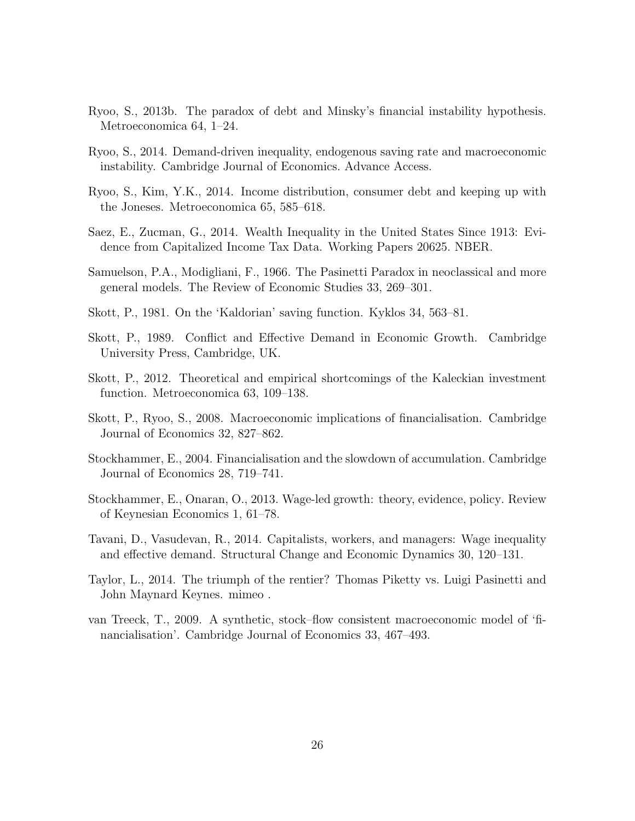- <span id="page-27-12"></span>Ryoo, S., 2013b. The paradox of debt and Minsky's financial instability hypothesis. Metroeconomica 64, 1–24.
- <span id="page-27-13"></span>Ryoo, S., 2014. Demand-driven inequality, endogenous saving rate and macroeconomic instability. Cambridge Journal of Economics. Advance Access.
- <span id="page-27-10"></span>Ryoo, S., Kim, Y.K., 2014. Income distribution, consumer debt and keeping up with the Joneses. Metroeconomica 65, 585–618.
- <span id="page-27-11"></span>Saez, E., Zucman, G., 2014. Wealth Inequality in the United States Since 1913: Evidence from Capitalized Income Tax Data. Working Papers 20625. NBER.
- <span id="page-27-3"></span>Samuelson, P.A., Modigliani, F., 1966. The Pasinetti Paradox in neoclassical and more general models. The Review of Economic Studies 33, 269–301.
- <span id="page-27-6"></span>Skott, P., 1981. On the 'Kaldorian' saving function. Kyklos 34, 563–81.
- <span id="page-27-5"></span>Skott, P., 1989. Conflict and Effective Demand in Economic Growth. Cambridge University Press, Cambridge, UK.
- <span id="page-27-2"></span>Skott, P., 2012. Theoretical and empirical shortcomings of the Kaleckian investment function. Metroeconomica 63, 109–138.
- <span id="page-27-7"></span>Skott, P., Ryoo, S., 2008. Macroeconomic implications of financialisation. Cambridge Journal of Economics 32, 827–862.
- <span id="page-27-8"></span>Stockhammer, E., 2004. Financialisation and the slowdown of accumulation. Cambridge Journal of Economics 28, 719–741.
- <span id="page-27-0"></span>Stockhammer, E., Onaran, O., 2013. Wage-led growth: theory, evidence, policy. Review of Keynesian Economics 1, 61–78.
- <span id="page-27-4"></span>Tavani, D., Vasudevan, R., 2014. Capitalists, workers, and managers: Wage inequality and effective demand. Structural Change and Economic Dynamics 30, 120–131.
- <span id="page-27-1"></span>Taylor, L., 2014. The triumph of the rentier? Thomas Piketty vs. Luigi Pasinetti and John Maynard Keynes. mimeo .
- <span id="page-27-9"></span>van Treeck, T., 2009. A synthetic, stock–flow consistent macroeconomic model of 'financialisation'. Cambridge Journal of Economics 33, 467–493.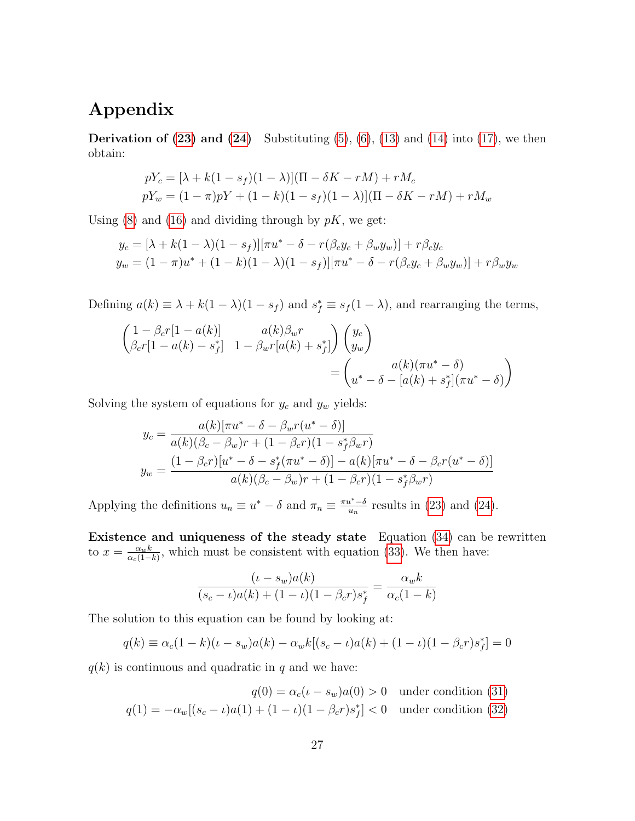# Appendix

**Derivation of [\(23\)](#page-11-1) and [\(24\)](#page-11-2)** Substituting  $(5)$ ,  $(6)$ ,  $(13)$  and  $(14)$  into  $(17)$ , we then obtain:

$$
pY_c = [\lambda + k(1 - s_f)(1 - \lambda)][\Pi - \delta K - rM) + rM_c
$$
  

$$
pY_w = (1 - \pi)pY + (1 - k)(1 - s_f)(1 - \lambda)][\Pi - \delta K - rM) + rM_w
$$

Using  $(8)$  and  $(16)$  and dividing through by  $pK$ , we get:

$$
y_c = [\lambda + k(1 - \lambda)(1 - s_f)][\pi u^* - \delta - r(\beta_c y_c + \beta_w y_w)] + r\beta_c y_c
$$
  

$$
y_w = (1 - \pi)u^* + (1 - k)(1 - \lambda)(1 - s_f)][\pi u^* - \delta - r(\beta_c y_c + \beta_w y_w)] + r\beta_w y_w
$$

Defining  $a(k) \equiv \lambda + k(1 - \lambda)(1 - s_f)$  and  $s_f^* \equiv s_f(1 - \lambda)$ , and rearranging the terms,

$$
\begin{pmatrix}\n1 - \beta_c r[1 - a(k)] & a(k)\beta_w r \\
\beta_c r[1 - a(k) - s_f^*] & 1 - \beta_w r[a(k) + s_f^*]\n\end{pmatrix}\n\begin{pmatrix}\ny_c \\
y_w\n\end{pmatrix}\n= \begin{pmatrix}\na(k)(\pi u^* - \delta) \\
u^* - \delta - [a(k) + s_f^*](\pi u^* - \delta)\n\end{pmatrix}
$$

Solving the system of equations for  $y_c$  and  $y_w$  yields:

$$
y_c = \frac{a(k)[\pi u^* - \delta - \beta_w r(u^* - \delta)]}{a(k)(\beta_c - \beta_w)r + (1 - \beta_c r)(1 - s_f^*\beta_w r)}
$$
  

$$
y_w = \frac{(1 - \beta_c r)[u^* - \delta - s_f^*(\pi u^* - \delta)] - a(k)[\pi u^* - \delta - \beta_c r(u^* - \delta)]}{a(k)(\beta_c - \beta_w)r + (1 - \beta_c r)(1 - s_f^*\beta_w r)}
$$

Applying the definitions  $u_n \equiv u^* - \delta$  and  $\pi_n \equiv \frac{\pi u^* - \delta}{u_n}$  $\frac{\mu^*-0}{u_n}$  results in [\(23\)](#page-11-1) and [\(24\)](#page-11-2).

Existence and uniqueness of the steady state Equation [\(34\)](#page-14-1) can be rewritten to  $x = \frac{\alpha_w k}{\alpha (1 - \alpha)}$  $\frac{\alpha_w k}{\alpha_c(1-k)}$ , which must be consistent with equation [\(33\)](#page-14-0). We then have:

$$
\frac{(\iota - s_w)a(k)}{(s_c - \iota)a(k) + (1 - \iota)(1 - \beta_c r)s_f^*} = \frac{\alpha_w k}{\alpha_c(1 - k)}
$$

The solution to this equation can be found by looking at:

$$
q(k) \equiv \alpha_c (1 - k)(\iota - s_w)a(k) - \alpha_w k[(s_c - \iota)a(k) + (1 - \iota)(1 - \beta_c r)s_f^*] = 0
$$

 $q(k)$  is continuous and quadratic in q and we have:

$$
q(0) = \alpha_c(\iota - s_w)a(0) > 0 \quad \text{under condition (31)}
$$
\n
$$
(1) + (1 - \iota)(1 - \beta \kappa)^{k-1} < 0 \quad \text{under condition (32)}
$$

$$
q(1) = -\alpha_w[(s_c - \iota)a(1) + (1 - \iota)(1 - \beta_c r)s_f^*] < 0 \quad \text{under condition (32)}
$$